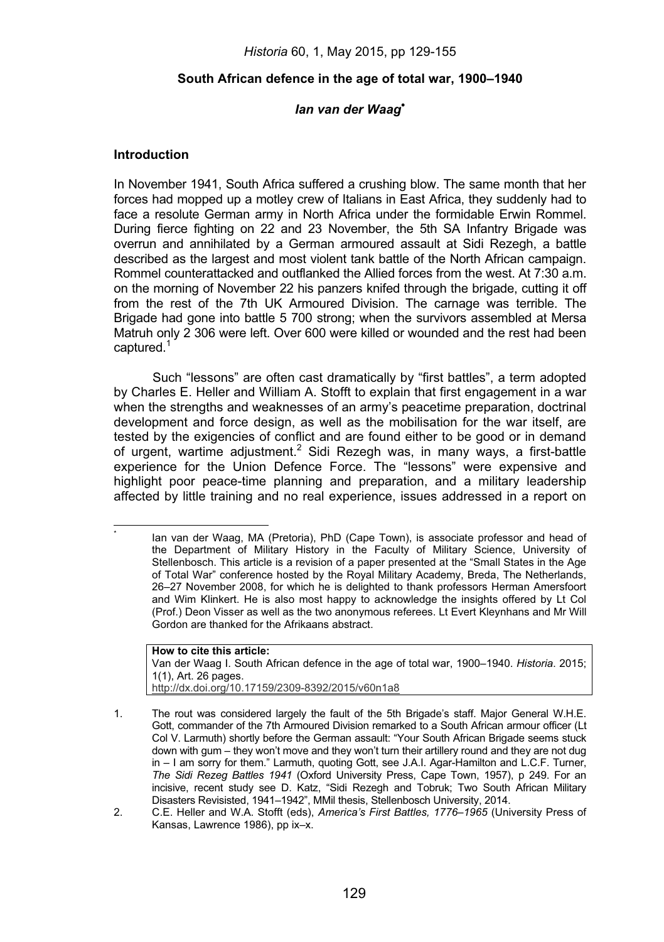*Historia* 60, 1, May 2015, pp 129-155

### **South African defence in the age of total war, 1900–1940**

# *Ian van der Waag*-

### **Introduction**

. \*

In November 1941, South Africa suffered a crushing blow. The same month that her forces had mopped up a motley crew of Italians in East Africa, they suddenly had to face a resolute German army in North Africa under the formidable Erwin Rommel. During fierce fighting on 22 and 23 November, the 5th SA Infantry Brigade was overrun and annihilated by a German armoured assault at Sidi Rezegh, a battle described as the largest and most violent tank battle of the North African campaign. Rommel counterattacked and outflanked the Allied forces from the west. At 7:30 a.m. on the morning of November 22 his panzers knifed through the brigade, cutting it off from the rest of the 7th UK Armoured Division. The carnage was terrible. The Brigade had gone into battle 5 700 strong; when the survivors assembled at Mersa Matruh only 2 306 were left. Over 600 were killed or wounded and the rest had been captured.<sup>1</sup>

Such "lessons" are often cast dramatically by "first battles", a term adopted by Charles E. Heller and William A. Stofft to explain that first engagement in a war when the strengths and weaknesses of an army's peacetime preparation, doctrinal development and force design, as well as the mobilisation for the war itself, are tested by the exigencies of conflict and are found either to be good or in demand of urgent, wartime adjustment.<sup>2</sup> Sidi Rezegh was, in many ways, a first-battle experience for the Union Defence Force. The "lessons" were expensive and highlight poor peace-time planning and preparation, and a military leadership affected by little training and no real experience, issues addressed in a report on

**How to cite this article:**  Van der Waag I. South African defence in the age of total war, 1900–1940. *Historia*. 2015; 1(1), Art. 26 pages. http://dx.doi.org/10.17159/2309-8392/2015/v60n1a8

Ian van der Waag, MA (Pretoria), PhD (Cape Town), is associate professor and head of the Department of Military History in the Faculty of Military Science, University of Stellenbosch. This article is a revision of a paper presented at the "Small States in the Age of Total War" conference hosted by the Royal Military Academy, Breda, The Netherlands, 26–27 November 2008, for which he is delighted to thank professors Herman Amersfoort and Wim Klinkert. He is also most happy to acknowledge the insights offered by Lt Col (Prof.) Deon Visser as well as the two anonymous referees. Lt Evert Kleynhans and Mr Will Gordon are thanked for the Afrikaans abstract.

<sup>1.</sup> The rout was considered largely the fault of the 5th Brigade's staff. Major General W.H.E. Gott, commander of the 7th Armoured Division remarked to a South African armour officer (Lt Col V. Larmuth) shortly before the German assault: "Your South African Brigade seems stuck down with gum – they won't move and they won't turn their artillery round and they are not dug in – I am sorry for them." Larmuth, quoting Gott, see J.A.I. Agar-Hamilton and L.C.F. Turner, *The Sidi Rezeg Battles 1941* (Oxford University Press, Cape Town, 1957), p 249. For an incisive, recent study see D. Katz, "Sidi Rezegh and Tobruk; Two South African Military Disasters Revisisted, 1941–1942", MMil thesis, Stellenbosch University, 2014.

<sup>2.</sup> C.E. Heller and W.A. Stofft (eds), *America's First Battles, 1776–1965* (University Press of Kansas, Lawrence 1986), pp ix–x.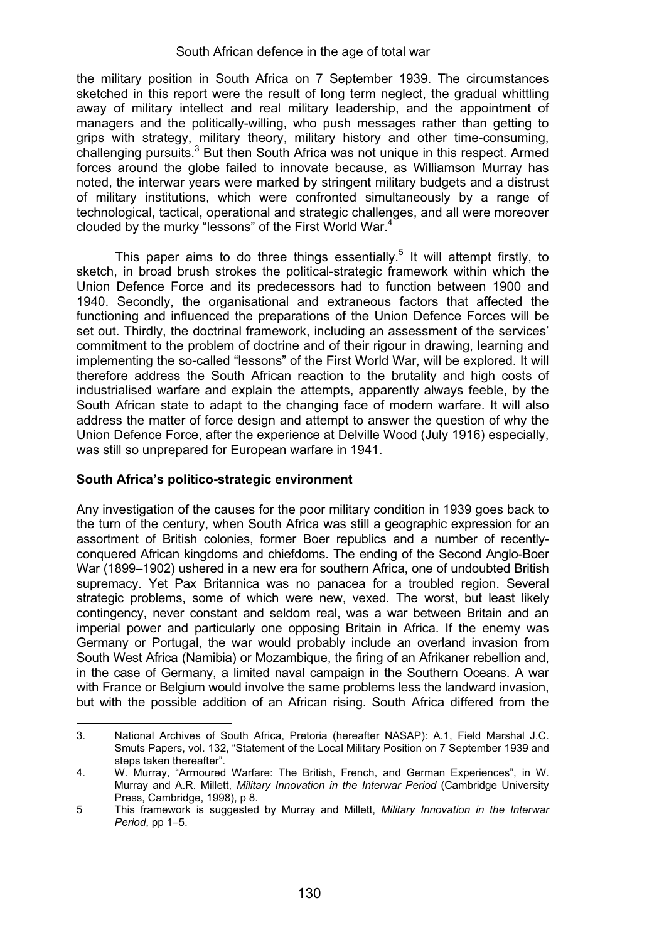the military position in South Africa on 7 September 1939. The circumstances sketched in this report were the result of long term neglect, the gradual whittling away of military intellect and real military leadership, and the appointment of managers and the politically-willing, who push messages rather than getting to grips with strategy, military theory, military history and other time-consuming, challenging pursuits.<sup>3</sup> But then South Africa was not unique in this respect. Armed forces around the globe failed to innovate because, as Williamson Murray has noted, the interwar years were marked by stringent military budgets and a distrust of military institutions, which were confronted simultaneously by a range of technological, tactical, operational and strategic challenges, and all were moreover clouded by the murky "lessons" of the First World War.<sup>4</sup>

This paper aims to do three things essentially.<sup>5</sup> It will attempt firstly, to sketch, in broad brush strokes the political-strategic framework within which the Union Defence Force and its predecessors had to function between 1900 and 1940. Secondly, the organisational and extraneous factors that affected the functioning and influenced the preparations of the Union Defence Forces will be set out. Thirdly, the doctrinal framework, including an assessment of the services' commitment to the problem of doctrine and of their rigour in drawing, learning and implementing the so-called "lessons" of the First World War, will be explored. It will therefore address the South African reaction to the brutality and high costs of industrialised warfare and explain the attempts, apparently always feeble, by the South African state to adapt to the changing face of modern warfare. It will also address the matter of force design and attempt to answer the question of why the Union Defence Force, after the experience at Delville Wood (July 1916) especially, was still so unprepared for European warfare in 1941.

# **South Africa's politico-strategic environment**

.

Any investigation of the causes for the poor military condition in 1939 goes back to the turn of the century, when South Africa was still a geographic expression for an assortment of British colonies, former Boer republics and a number of recentlyconquered African kingdoms and chiefdoms. The ending of the Second Anglo-Boer War (1899–1902) ushered in a new era for southern Africa, one of undoubted British supremacy. Yet Pax Britannica was no panacea for a troubled region. Several strategic problems, some of which were new, vexed. The worst, but least likely contingency, never constant and seldom real, was a war between Britain and an imperial power and particularly one opposing Britain in Africa. If the enemy was Germany or Portugal, the war would probably include an overland invasion from South West Africa (Namibia) or Mozambique, the firing of an Afrikaner rebellion and, in the case of Germany, a limited naval campaign in the Southern Oceans. A war with France or Belgium would involve the same problems less the landward invasion, but with the possible addition of an African rising. South Africa differed from the

<sup>3.</sup> National Archives of South Africa, Pretoria (hereafter NASAP): A.1, Field Marshal J.C. Smuts Papers, vol. 132, "Statement of the Local Military Position on 7 September 1939 and steps taken thereafter".

<sup>4.</sup> W. Murray, "Armoured Warfare: The British, French, and German Experiences", in W. Murray and A.R. Millett, *Military Innovation in the Interwar Period* (Cambridge University Press, Cambridge, 1998), p 8.

<sup>5</sup> This framework is suggested by Murray and Millett, *Military Innovation in the Interwar Period*, pp 1–5.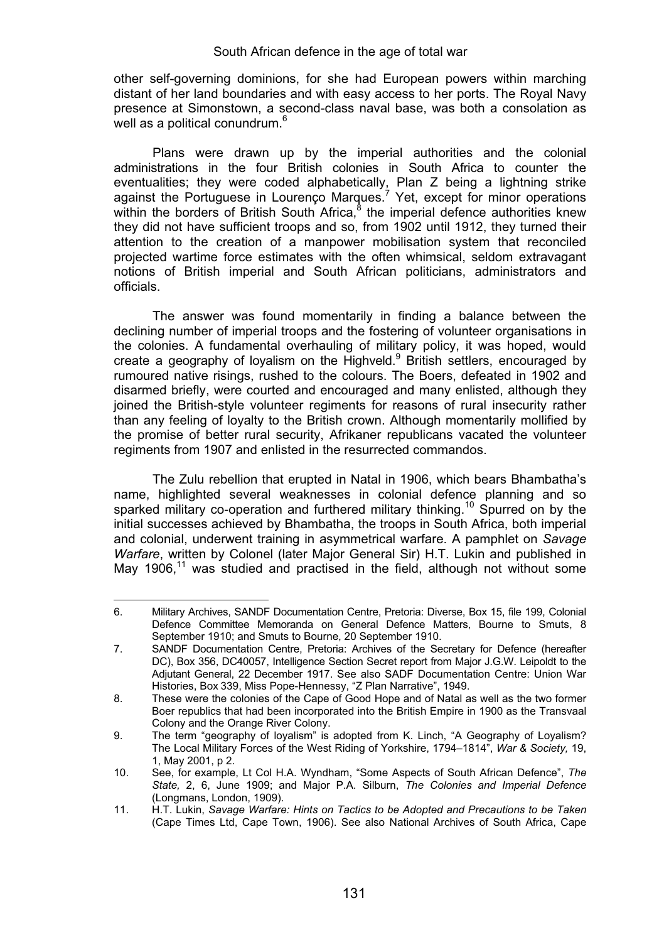other self-governing dominions, for she had European powers within marching distant of her land boundaries and with easy access to her ports. The Royal Navy presence at Simonstown, a second-class naval base, was both a consolation as well as a political conundrum.<sup>6</sup>

Plans were drawn up by the imperial authorities and the colonial administrations in the four British colonies in South Africa to counter the eventualities; they were coded alphabetically, Plan Z being a lightning strike<br>against the Portuguese in Lourenço Marques.<sup>7</sup> Yet, except for minor operations within the borders of British South Africa,<sup>8</sup> the imperial defence authorities knew they did not have sufficient troops and so, from 1902 until 1912, they turned their attention to the creation of a manpower mobilisation system that reconciled projected wartime force estimates with the often whimsical, seldom extravagant notions of British imperial and South African politicians, administrators and officials.

The answer was found momentarily in finding a balance between the declining number of imperial troops and the fostering of volunteer organisations in the colonies. A fundamental overhauling of military policy, it was hoped, would create a geography of loyalism on the Highveld.<sup>9</sup> British settlers, encouraged by rumoured native risings, rushed to the colours. The Boers, defeated in 1902 and disarmed briefly, were courted and encouraged and many enlisted, although they joined the British-style volunteer regiments for reasons of rural insecurity rather than any feeling of loyalty to the British crown. Although momentarily mollified by the promise of better rural security, Afrikaner republicans vacated the volunteer regiments from 1907 and enlisted in the resurrected commandos.

The Zulu rebellion that erupted in Natal in 1906, which bears Bhambatha's name, highlighted several weaknesses in colonial defence planning and so sparked military co-operation and furthered military thinking.<sup>10</sup> Spurred on by the initial successes achieved by Bhambatha, the troops in South Africa, both imperial and colonial, underwent training in asymmetrical warfare. A pamphlet on *Savage Warfare*, written by Colonel (later Major General Sir) H.T. Lukin and published in Mav  $1906$ ,<sup>11</sup> was studied and practised in the field, although not without some

<sup>6.</sup> Military Archives, SANDF Documentation Centre, Pretoria: Diverse, Box 15, file 199, Colonial Defence Committee Memoranda on General Defence Matters, Bourne to Smuts, 8 September 1910; and Smuts to Bourne, 20 September 1910.

<sup>7.</sup> SANDF Documentation Centre, Pretoria: Archives of the Secretary for Defence (hereafter DC), Box 356, DC40057, Intelligence Section Secret report from Major J.G.W. Leipoldt to the Adjutant General, 22 December 1917. See also SADF Documentation Centre: Union War Histories, Box 339, Miss Pope-Hennessy, "Z Plan Narrative", 1949.

<sup>8.</sup> These were the colonies of the Cape of Good Hope and of Natal as well as the two former Boer republics that had been incorporated into the British Empire in 1900 as the Transvaal Colony and the Orange River Colony.

<sup>9.</sup> The term "geography of loyalism" is adopted from K. Linch, "A Geography of Loyalism? The Local Military Forces of the West Riding of Yorkshire, 1794–1814", *War & Society,* 19, 1, May 2001, p 2.

<sup>10.</sup> See, for example, Lt Col H.A. Wyndham, "Some Aspects of South African Defence", *The State,* 2, 6, June 1909; and Major P.A. Silburn, *The Colonies and Imperial Defence* (Longmans, London, 1909).

<sup>11.</sup> H.T. Lukin, *Savage Warfare: Hints on Tactics to be Adopted and Precautions to be Taken* (Cape Times Ltd, Cape Town, 1906). See also National Archives of South Africa, Cape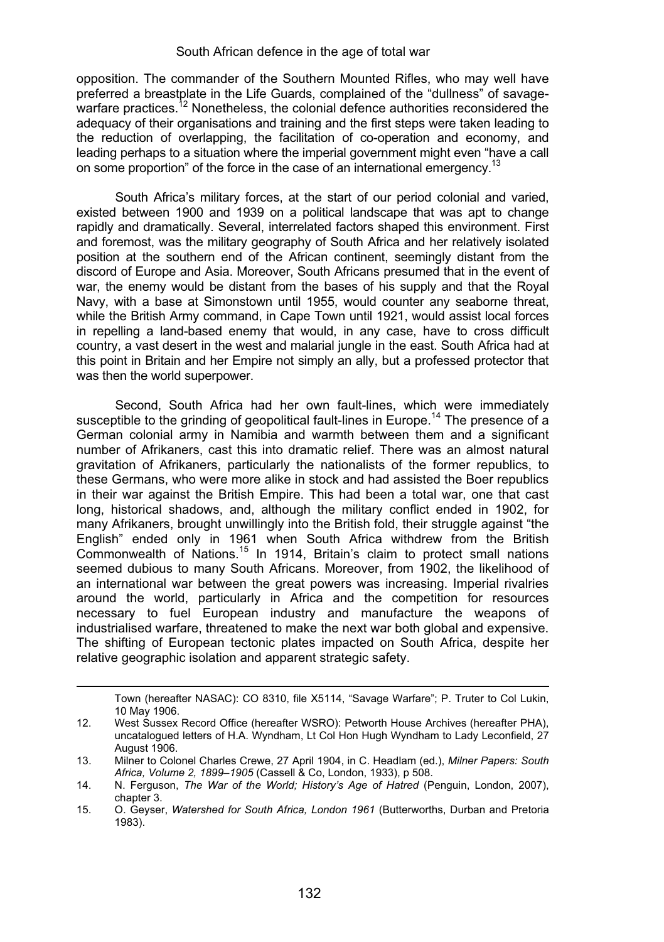opposition. The commander of the Southern Mounted Rifles, who may well have preferred a breastplate in the Life Guards, complained of the "dullness" of savagewarfare practices.<sup>12</sup> Nonetheless, the colonial defence authorities reconsidered the adequacy of their organisations and training and the first steps were taken leading to the reduction of overlapping, the facilitation of co-operation and economy, and leading perhaps to a situation where the imperial government might even "have a call on some proportion" of the force in the case of an international emergency.<sup>13</sup>

South Africa's military forces, at the start of our period colonial and varied, existed between 1900 and 1939 on a political landscape that was apt to change rapidly and dramatically. Several, interrelated factors shaped this environment. First and foremost, was the military geography of South Africa and her relatively isolated position at the southern end of the African continent, seemingly distant from the discord of Europe and Asia. Moreover, South Africans presumed that in the event of war, the enemy would be distant from the bases of his supply and that the Royal Navy, with a base at Simonstown until 1955, would counter any seaborne threat, while the British Army command, in Cape Town until 1921, would assist local forces in repelling a land-based enemy that would, in any case, have to cross difficult country, a vast desert in the west and malarial jungle in the east. South Africa had at this point in Britain and her Empire not simply an ally, but a professed protector that was then the world superpower.

Second, South Africa had her own fault-lines, which were immediately susceptible to the grinding of geopolitical fault-lines in Europe.<sup>14</sup> The presence of a German colonial army in Namibia and warmth between them and a significant number of Afrikaners, cast this into dramatic relief. There was an almost natural gravitation of Afrikaners, particularly the nationalists of the former republics, to these Germans, who were more alike in stock and had assisted the Boer republics in their war against the British Empire. This had been a total war, one that cast long, historical shadows, and, although the military conflict ended in 1902, for many Afrikaners, brought unwillingly into the British fold, their struggle against "the English" ended only in 1961 when South Africa withdrew from the British Commonwealth of Nations.<sup>15</sup> In 1914, Britain's claim to protect small nations seemed dubious to many South Africans. Moreover, from 1902, the likelihood of an international war between the great powers was increasing. Imperial rivalries around the world, particularly in Africa and the competition for resources necessary to fuel European industry and manufacture the weapons of industrialised warfare, threatened to make the next war both global and expensive. The shifting of European tectonic plates impacted on South Africa, despite her relative geographic isolation and apparent strategic safety.

Town (hereafter NASAC): CO 8310, file X5114, "Savage Warfare"; P. Truter to Col Lukin, 10 May 1906.

<sup>12.</sup> West Sussex Record Office (hereafter WSRO): Petworth House Archives (hereafter PHA), uncatalogued letters of H.A. Wyndham, Lt Col Hon Hugh Wyndham to Lady Leconfield, 27 August 1906.

<sup>13.</sup> Milner to Colonel Charles Crewe, 27 April 1904, in C. Headlam (ed.), *Milner Papers: South Africa, Volume 2, 1899–1905* (Cassell & Co, London, 1933), p 508.

<sup>14.</sup> N. Ferguson, *The War of the World; History's Age of Hatred* (Penguin, London, 2007), chapter 3.

<sup>15.</sup> O. Geyser, *Watershed for South Africa, London 1961* (Butterworths, Durban and Pretoria 1983).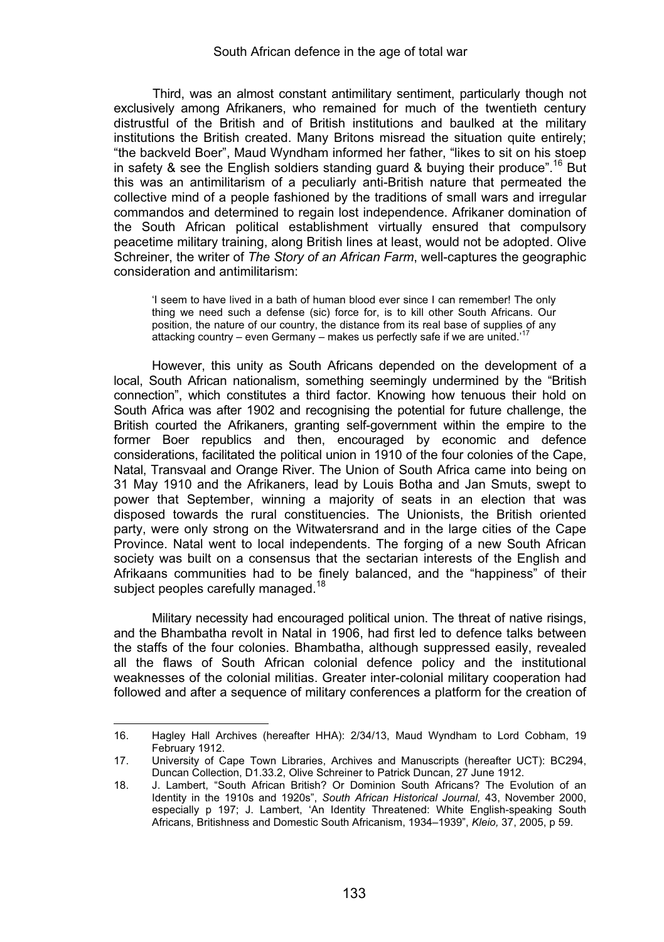Third, was an almost constant antimilitary sentiment, particularly though not exclusively among Afrikaners, who remained for much of the twentieth century distrustful of the British and of British institutions and baulked at the military institutions the British created. Many Britons misread the situation quite entirely; "the backveld Boer", Maud Wyndham informed her father, "likes to sit on his stoep in safety & see the English soldiers standing guard & buying their produce".<sup>16</sup> But this was an antimilitarism of a peculiarly anti-British nature that permeated the collective mind of a people fashioned by the traditions of small wars and irregular commandos and determined to regain lost independence. Afrikaner domination of the South African political establishment virtually ensured that compulsory peacetime military training, along British lines at least, would not be adopted. Olive Schreiner, the writer of *The Story of an African Farm*, well-captures the geographic consideration and antimilitarism:

'I seem to have lived in a bath of human blood ever since I can remember! The only thing we need such a defense (sic) force for, is to kill other South Africans. Our position, the nature of our country, the distance from its real base of supplies of any attacking country – even Germany – makes us perfectly safe if we are united.<sup>17</sup>

However, this unity as South Africans depended on the development of a local, South African nationalism, something seemingly undermined by the "British connection", which constitutes a third factor. Knowing how tenuous their hold on South Africa was after 1902 and recognising the potential for future challenge, the British courted the Afrikaners, granting self-government within the empire to the former Boer republics and then, encouraged by economic and defence considerations, facilitated the political union in 1910 of the four colonies of the Cape, Natal, Transvaal and Orange River. The Union of South Africa came into being on 31 May 1910 and the Afrikaners, lead by Louis Botha and Jan Smuts, swept to power that September, winning a majority of seats in an election that was disposed towards the rural constituencies. The Unionists, the British oriented party, were only strong on the Witwatersrand and in the large cities of the Cape Province. Natal went to local independents. The forging of a new South African society was built on a consensus that the sectarian interests of the English and Afrikaans communities had to be finely balanced, and the "happiness" of their subject peoples carefully managed.<sup>18</sup>

Military necessity had encouraged political union. The threat of native risings, and the Bhambatha revolt in Natal in 1906, had first led to defence talks between the staffs of the four colonies. Bhambatha, although suppressed easily, revealed all the flaws of South African colonial defence policy and the institutional weaknesses of the colonial militias. Greater inter-colonial military cooperation had followed and after a sequence of military conferences a platform for the creation of

<sup>16.</sup> Hagley Hall Archives (hereafter HHA): 2/34/13, Maud Wyndham to Lord Cobham, 19 February 1912.

<sup>17.</sup> University of Cape Town Libraries, Archives and Manuscripts (hereafter UCT): BC294, Duncan Collection, D1.33.2, Olive Schreiner to Patrick Duncan, 27 June 1912.

<sup>18.</sup> J. Lambert, "South African British? Or Dominion South Africans? The Evolution of an Identity in the 1910s and 1920s", *South African Historical Journal,* 43, November 2000, especially p 197; J. Lambert, 'An Identity Threatened: White English-speaking South Africans, Britishness and Domestic South Africanism, 1934–1939", *Kleio,* 37, 2005, p 59.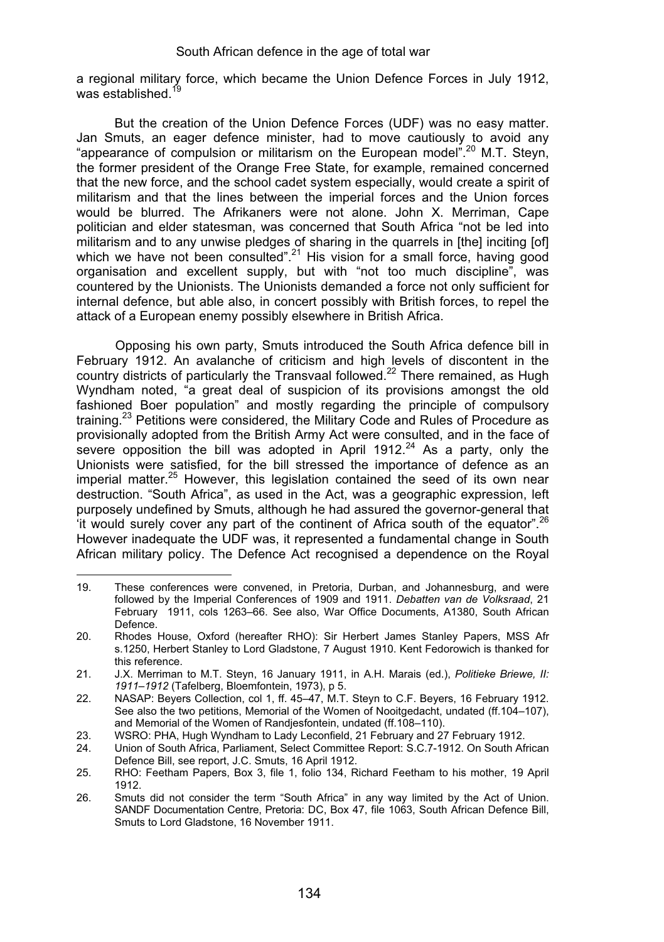a regional military force, which became the Union Defence Forces in July 1912, was established.<sup>19</sup>

But the creation of the Union Defence Forces (UDF) was no easy matter. Jan Smuts, an eager defence minister, had to move cautiously to avoid any "appearance of compulsion or militarism on the European model".<sup>20</sup> M.T. Stevn, the former president of the Orange Free State, for example, remained concerned that the new force, and the school cadet system especially, would create a spirit of militarism and that the lines between the imperial forces and the Union forces would be blurred. The Afrikaners were not alone. John X. Merriman, Cape politician and elder statesman, was concerned that South Africa "not be led into militarism and to any unwise pledges of sharing in the quarrels in [the] inciting [of] which we have not been consulted".<sup>21</sup> His vision for a small force, having good organisation and excellent supply, but with "not too much discipline", was countered by the Unionists. The Unionists demanded a force not only sufficient for internal defence, but able also, in concert possibly with British forces, to repel the attack of a European enemy possibly elsewhere in British Africa.

Opposing his own party, Smuts introduced the South Africa defence bill in February 1912. An avalanche of criticism and high levels of discontent in the country districts of particularly the Transvaal followed.22 There remained, as Hugh Wyndham noted, "a great deal of suspicion of its provisions amongst the old fashioned Boer population" and mostly regarding the principle of compulsory training.23 Petitions were considered, the Military Code and Rules of Procedure as provisionally adopted from the British Army Act were consulted, and in the face of severe opposition the bill was adopted in April 1912.<sup>24</sup> As a party, only the Unionists were satisfied, for the bill stressed the importance of defence as an imperial matter.<sup>25</sup> However, this legislation contained the seed of its own near destruction. "South Africa", as used in the Act, was a geographic expression, left purposely undefined by Smuts, although he had assured the governor-general that 'it would surely cover any part of the continent of Africa south of the equator".  $26$ However inadequate the UDF was, it represented a fundamental change in South African military policy. The Defence Act recognised a dependence on the Royal

<sup>19.</sup> These conferences were convened, in Pretoria, Durban, and Johannesburg, and were followed by the Imperial Conferences of 1909 and 1911. *Debatten van de Volksraad*, 21 February 1911, cols 1263–66. See also, War Office Documents, A1380, South African Defence.

<sup>20.</sup> Rhodes House, Oxford (hereafter RHO): Sir Herbert James Stanley Papers, MSS Afr s.1250, Herbert Stanley to Lord Gladstone, 7 August 1910. Kent Fedorowich is thanked for this reference.

<sup>21.</sup> J.X. Merriman to M.T. Steyn, 16 January 1911, in A.H. Marais (ed.), *Politieke Briewe, II: 1911–1912* (Tafelberg, Bloemfontein, 1973), p 5.

<sup>22.</sup> NASAP: Beyers Collection, col 1, ff. 45–47, M.T. Steyn to C.F. Beyers, 16 February 1912. See also the two petitions. Memorial of the Women of Nooitgedacht, undated (ff.104–107), and Memorial of the Women of Randjesfontein, undated (ff.108–110).

<sup>23.</sup> WSRO: PHA, Hugh Wyndham to Lady Leconfield, 21 February and 27 February 1912.

<sup>24.</sup> Union of South Africa, Parliament, Select Committee Report: S.C.7-1912. On South African Defence Bill, see report, J.C. Smuts, 16 April 1912.

<sup>25.</sup> RHO: Feetham Papers, Box 3, file 1, folio 134, Richard Feetham to his mother, 19 April 1912.

<sup>26.</sup> Smuts did not consider the term "South Africa" in any way limited by the Act of Union. SANDF Documentation Centre, Pretoria: DC, Box 47, file 1063, South African Defence Bill, Smuts to Lord Gladstone, 16 November 1911.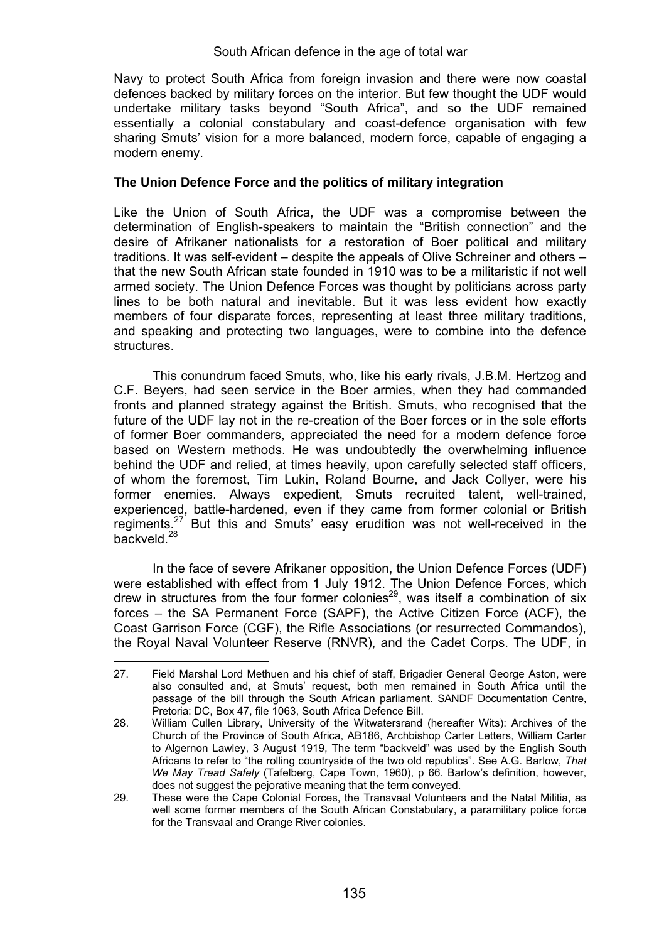Navy to protect South Africa from foreign invasion and there were now coastal defences backed by military forces on the interior. But few thought the UDF would undertake military tasks beyond "South Africa", and so the UDF remained essentially a colonial constabulary and coast-defence organisation with few sharing Smuts' vision for a more balanced, modern force, capable of engaging a modern enemy.

# **The Union Defence Force and the politics of military integration**

Like the Union of South Africa, the UDF was a compromise between the determination of English-speakers to maintain the "British connection" and the desire of Afrikaner nationalists for a restoration of Boer political and military traditions. It was self-evident – despite the appeals of Olive Schreiner and others – that the new South African state founded in 1910 was to be a militaristic if not well armed society. The Union Defence Forces was thought by politicians across party lines to be both natural and inevitable. But it was less evident how exactly members of four disparate forces, representing at least three military traditions, and speaking and protecting two languages, were to combine into the defence structures.

This conundrum faced Smuts, who, like his early rivals, J.B.M. Hertzog and C.F. Beyers, had seen service in the Boer armies, when they had commanded fronts and planned strategy against the British. Smuts, who recognised that the future of the UDF lay not in the re-creation of the Boer forces or in the sole efforts of former Boer commanders, appreciated the need for a modern defence force based on Western methods. He was undoubtedly the overwhelming influence behind the UDF and relied, at times heavily, upon carefully selected staff officers, of whom the foremost, Tim Lukin, Roland Bourne, and Jack Collyer, were his former enemies. Always expedient, Smuts recruited talent, well-trained, experienced, battle-hardened, even if they came from former colonial or British regiments.27 But this and Smuts' easy erudition was not well-received in the backveld<sup>28</sup>

In the face of severe Afrikaner opposition, the Union Defence Forces (UDF) were established with effect from 1 July 1912. The Union Defence Forces, which drew in structures from the four former colonies<sup>29</sup>, was itself a combination of six forces – the SA Permanent Force (SAPF), the Active Citizen Force (ACF), the Coast Garrison Force (CGF), the Rifle Associations (or resurrected Commandos), the Royal Naval Volunteer Reserve (RNVR), and the Cadet Corps. The UDF, in

<sup>27.</sup> Field Marshal Lord Methuen and his chief of staff, Brigadier General George Aston, were also consulted and, at Smuts' request, both men remained in South Africa until the passage of the bill through the South African parliament. SANDF Documentation Centre, Pretoria: DC, Box 47, file 1063, South Africa Defence Bill.

<sup>28.</sup> William Cullen Library, University of the Witwatersrand (hereafter Wits): Archives of the Church of the Province of South Africa, AB186, Archbishop Carter Letters, William Carter to Algernon Lawley, 3 August 1919, The term "backveld" was used by the English South Africans to refer to "the rolling countryside of the two old republics". See A.G. Barlow, *That We May Tread Safely* (Tafelberg, Cape Town, 1960), p 66. Barlow's definition, however, does not suggest the pejorative meaning that the term conveyed.

<sup>29.</sup> These were the Cape Colonial Forces, the Transvaal Volunteers and the Natal Militia, as well some former members of the South African Constabulary, a paramilitary police force for the Transvaal and Orange River colonies.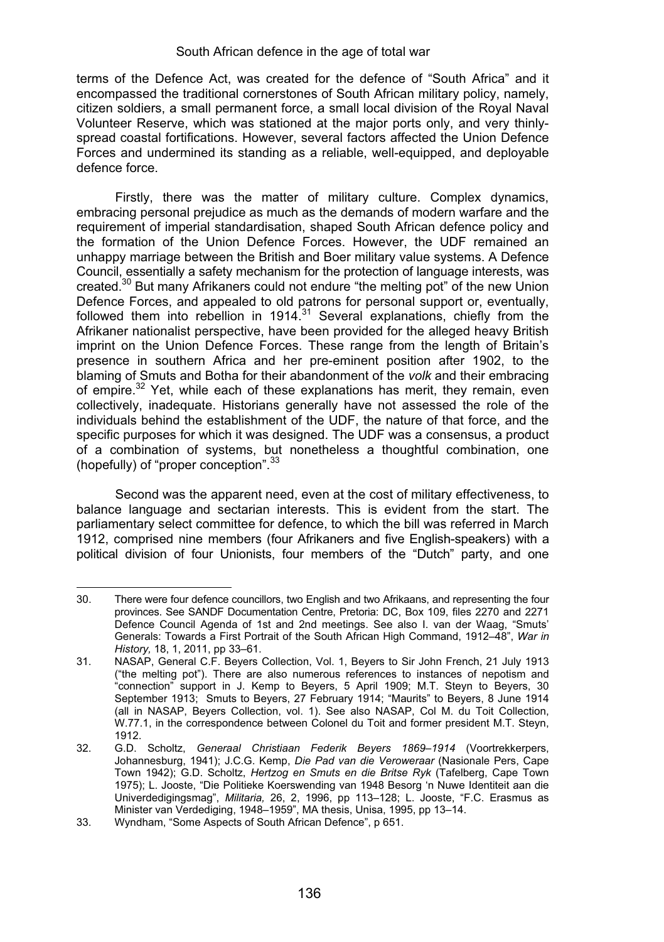terms of the Defence Act, was created for the defence of "South Africa" and it encompassed the traditional cornerstones of South African military policy, namely, citizen soldiers, a small permanent force, a small local division of the Royal Naval Volunteer Reserve, which was stationed at the major ports only, and very thinlyspread coastal fortifications. However, several factors affected the Union Defence Forces and undermined its standing as a reliable, well-equipped, and deployable defence force.

Firstly, there was the matter of military culture. Complex dynamics, embracing personal prejudice as much as the demands of modern warfare and the requirement of imperial standardisation, shaped South African defence policy and the formation of the Union Defence Forces. However, the UDF remained an unhappy marriage between the British and Boer military value systems. A Defence Council, essentially a safety mechanism for the protection of language interests, was created.30 But many Afrikaners could not endure "the melting pot" of the new Union Defence Forces, and appealed to old patrons for personal support or, eventually, followed them into rebellion in  $1914^{31}$  Several explanations, chiefly from the Afrikaner nationalist perspective, have been provided for the alleged heavy British imprint on the Union Defence Forces. These range from the length of Britain's presence in southern Africa and her pre-eminent position after 1902, to the blaming of Smuts and Botha for their abandonment of the *volk* and their embracing of empire.<sup>32</sup> Yet, while each of these explanations has merit, they remain, even collectively, inadequate. Historians generally have not assessed the role of the individuals behind the establishment of the UDF, the nature of that force, and the specific purposes for which it was designed. The UDF was a consensus, a product of a combination of systems, but nonetheless a thoughtful combination, one (hopefully) of "proper conception".<sup>33</sup>

Second was the apparent need, even at the cost of military effectiveness, to balance language and sectarian interests. This is evident from the start. The parliamentary select committee for defence, to which the bill was referred in March 1912, comprised nine members (four Afrikaners and five English-speakers) with a political division of four Unionists, four members of the "Dutch" party, and one

<sup>30.</sup> There were four defence councillors, two English and two Afrikaans, and representing the four provinces. See SANDF Documentation Centre, Pretoria: DC, Box 109, files 2270 and 2271 Defence Council Agenda of 1st and 2nd meetings. See also I. van der Waag, "Smuts' Generals: Towards a First Portrait of the South African High Command, 1912–48", *War in History,* 18, 1, 2011, pp 33–61.

<sup>31.</sup> NASAP, General C.F. Beyers Collection, Vol. 1, Beyers to Sir John French, 21 July 1913 ("the melting pot"). There are also numerous references to instances of nepotism and "connection" support in J. Kemp to Beyers, 5 April 1909; M.T. Steyn to Beyers, 30 September 1913; Smuts to Beyers, 27 February 1914; "Maurits" to Beyers, 8 June 1914 (all in NASAP, Beyers Collection, vol. 1). See also NASAP, Col M. du Toit Collection, W.77.1, in the correspondence between Colonel du Toit and former president M.T. Steyn, 1912.

<sup>32.</sup> G.D. Scholtz, *Generaal Christiaan Federik Beyers 1869–1914* (Voortrekkerpers, Johannesburg, 1941); J.C.G. Kemp, *Die Pad van die Veroweraar* (Nasionale Pers, Cape Town 1942); G.D. Scholtz, *Hertzog en Smuts en die Britse Ryk* (Tafelberg, Cape Town 1975); L. Jooste, "Die Politieke Koerswending van 1948 Besorg 'n Nuwe Identiteit aan die Univerdedigingsmag", *Militaria,* 26, 2, 1996, pp 113–128; L. Jooste, "F.C. Erasmus as<br>Minister van Verdediging, 1948–1959", MA thesis, Unisa, 1995, pp 13–14.

<sup>33.</sup> Wyndham, "Some Aspects of South African Defence", p 651.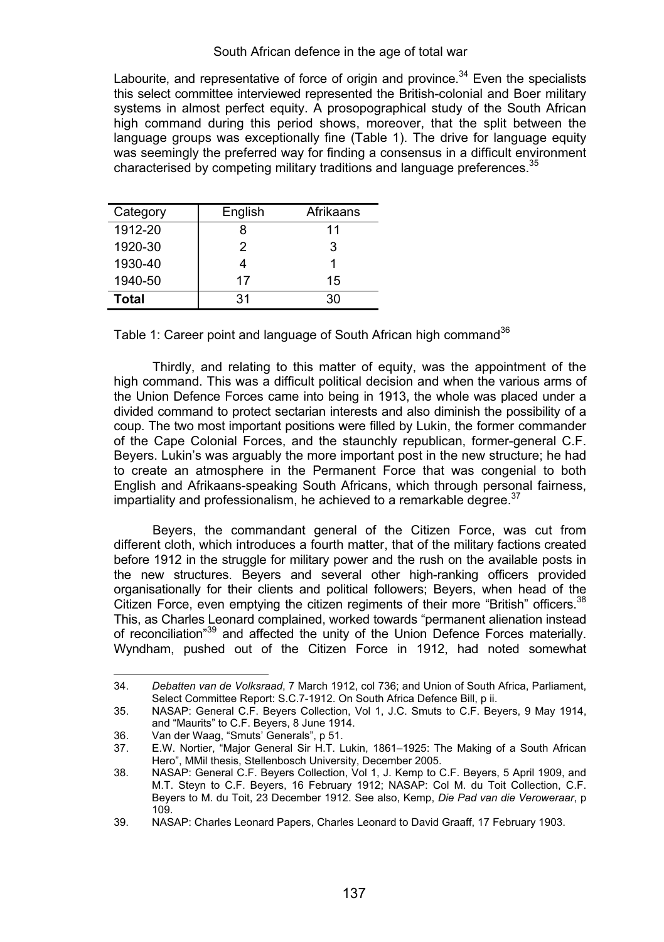Labourite, and representative of force of origin and province.<sup>34</sup> Even the specialists this select committee interviewed represented the British-colonial and Boer military systems in almost perfect equity. A prosopographical study of the South African high command during this period shows, moreover, that the split between the language groups was exceptionally fine (Table 1). The drive for language equity was seemingly the preferred way for finding a consensus in a difficult environment characterised by competing military traditions and language preferences.<sup>35</sup>

| Category | English | Afrikaans |  |  |
|----------|---------|-----------|--|--|
| 1912-20  |         | 11        |  |  |
| 1920-30  | 2       | 3         |  |  |
| 1930-40  |         |           |  |  |
| 1940-50  | 17      | 15        |  |  |
| Total    | 31      | 30.       |  |  |

Table 1: Career point and language of South African high command<sup>36</sup>

 Thirdly, and relating to this matter of equity, was the appointment of the high command. This was a difficult political decision and when the various arms of the Union Defence Forces came into being in 1913, the whole was placed under a divided command to protect sectarian interests and also diminish the possibility of a coup. The two most important positions were filled by Lukin, the former commander of the Cape Colonial Forces, and the staunchly republican, former-general C.F. Beyers. Lukin's was arguably the more important post in the new structure; he had to create an atmosphere in the Permanent Force that was congenial to both English and Afrikaans-speaking South Africans, which through personal fairness, impartiality and professionalism, he achieved to a remarkable degree. $37$ 

 Beyers, the commandant general of the Citizen Force, was cut from different cloth, which introduces a fourth matter, that of the military factions created before 1912 in the struggle for military power and the rush on the available posts in the new structures. Beyers and several other high-ranking officers provided organisationally for their clients and political followers; Beyers, when head of the Citizen Force, even emptying the citizen regiments of their more "British" officers.<sup>38</sup> This, as Charles Leonard complained, worked towards "permanent alienation instead of reconciliation"39 and affected the unity of the Union Defence Forces materially. Wyndham, pushed out of the Citizen Force in 1912, had noted somewhat

<sup>34.</sup> *Debatten van de Volksraad*, 7 March 1912, col 736; and Union of South Africa, Parliament, Select Committee Report: S.C.7-1912. On South Africa Defence Bill, p ii.

<sup>35.</sup> NASAP: General C.F. Beyers Collection, Vol 1, J.C. Smuts to C.F. Beyers, 9 May 1914, and "Maurits" to C.F. Beyers, 8 June 1914.

<sup>36.</sup> Van der Waag, "Smuts' Generals", p 51.

<sup>37.</sup> E.W. Nortier, "Major General Sir H.T. Lukin, 1861–1925: The Making of a South African Hero", MMil thesis, Stellenbosch University, December 2005.

<sup>38.</sup> NASAP: General C.F. Beyers Collection, Vol 1, J. Kemp to C.F. Beyers, 5 April 1909, and M.T. Steyn to C.F. Beyers, 16 February 1912; NASAP: Col M. du Toit Collection, C.F. Beyers to M. du Toit, 23 December 1912. See also, Kemp, *Die Pad van die Veroweraar*, p 109.

<sup>39.</sup> NASAP: Charles Leonard Papers, Charles Leonard to David Graaff, 17 February 1903.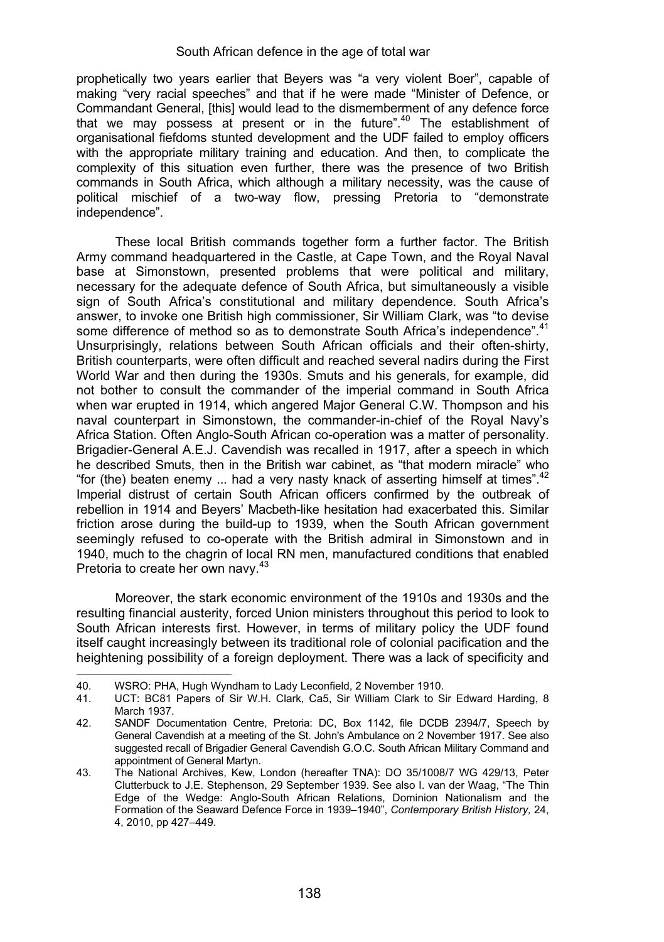prophetically two years earlier that Beyers was "a very violent Boer", capable of making "very racial speeches" and that if he were made "Minister of Defence, or Commandant General, [this] would lead to the dismemberment of any defence force that we may possess at present or in the future".<sup>40</sup> The establishment of organisational fiefdoms stunted development and the UDF failed to employ officers with the appropriate military training and education. And then, to complicate the complexity of this situation even further, there was the presence of two British commands in South Africa, which although a military necessity, was the cause of political mischief of a two-way flow, pressing Pretoria to "demonstrate independence".

These local British commands together form a further factor. The British Army command headquartered in the Castle, at Cape Town, and the Royal Naval base at Simonstown, presented problems that were political and military, necessary for the adequate defence of South Africa, but simultaneously a visible sign of South Africa's constitutional and military dependence. South Africa's answer, to invoke one British high commissioner, Sir William Clark, was "to devise some difference of method so as to demonstrate South Africa's independence".<sup>41</sup> Unsurprisingly, relations between South African officials and their often-shirty, British counterparts, were often difficult and reached several nadirs during the First World War and then during the 1930s. Smuts and his generals, for example, did not bother to consult the commander of the imperial command in South Africa when war erupted in 1914, which angered Major General C.W. Thompson and his naval counterpart in Simonstown, the commander-in-chief of the Royal Navy's Africa Station. Often Anglo-South African co-operation was a matter of personality. Brigadier-General A.E.J. Cavendish was recalled in 1917, after a speech in which he described Smuts, then in the British war cabinet, as "that modern miracle" who "for (the) beaten enemy ... had a very nasty knack of asserting himself at times".<sup>42</sup> Imperial distrust of certain South African officers confirmed by the outbreak of rebellion in 1914 and Beyers' Macbeth-like hesitation had exacerbated this. Similar friction arose during the build-up to 1939, when the South African government seemingly refused to co-operate with the British admiral in Simonstown and in 1940, much to the chagrin of local RN men, manufactured conditions that enabled Pretoria to create her own navy.<sup>43</sup>

Moreover, the stark economic environment of the 1910s and 1930s and the resulting financial austerity, forced Union ministers throughout this period to look to South African interests first. However, in terms of military policy the UDF found itself caught increasingly between its traditional role of colonial pacification and the heightening possibility of a foreign deployment. There was a lack of specificity and .

<sup>40.</sup> WSRO: PHA, Hugh Wyndham to Lady Leconfield, 2 November 1910.

UCT: BC81 Papers of Sir W.H. Clark, Ca5, Sir William Clark to Sir Edward Harding, 8 March 1937.

<sup>42.</sup> SANDF Documentation Centre, Pretoria: DC, Box 1142, file DCDB 2394/7, Speech by General Cavendish at a meeting of the St. John's Ambulance on 2 November 1917. See also suggested recall of Brigadier General Cavendish G.O.C. South African Military Command and appointment of General Martyn.

<sup>43.</sup> The National Archives, Kew, London (hereafter TNA): DO 35/1008/7 WG 429/13, Peter Clutterbuck to J.E. Stephenson, 29 September 1939. See also I. van der Waag, "The Thin Edge of the Wedge: Anglo-South African Relations, Dominion Nationalism and the Formation of the Seaward Defence Force in 1939–1940", *Contemporary British History,* 24, 4, 2010, pp 427–449.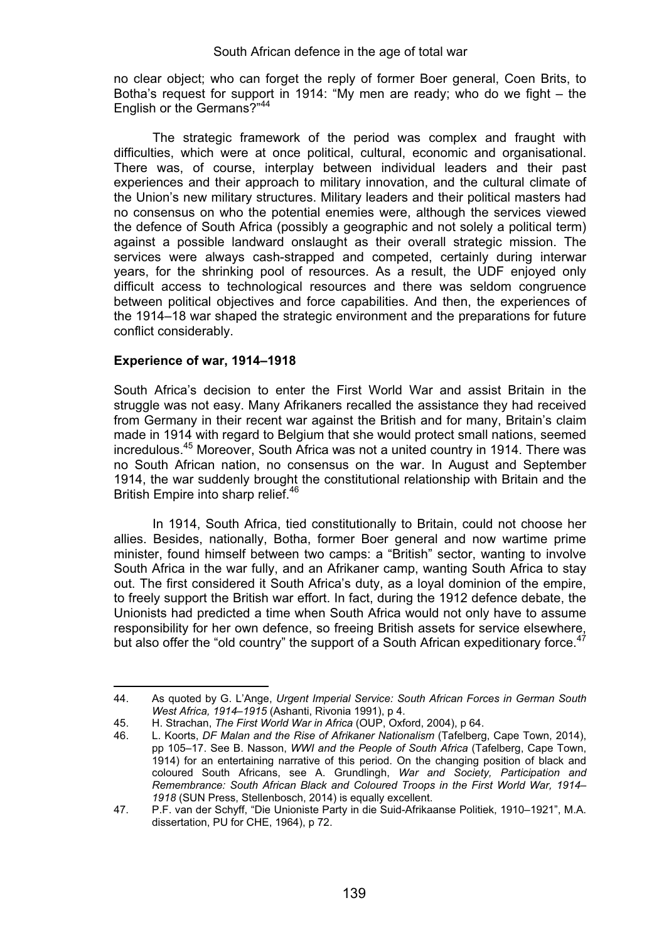no clear object; who can forget the reply of former Boer general, Coen Brits, to Botha's request for support in 1914: "My men are ready; who do we fight – the English or the Germans?"<sup>44</sup>

The strategic framework of the period was complex and fraught with difficulties, which were at once political, cultural, economic and organisational. There was, of course, interplay between individual leaders and their past experiences and their approach to military innovation, and the cultural climate of the Union's new military structures. Military leaders and their political masters had no consensus on who the potential enemies were, although the services viewed the defence of South Africa (possibly a geographic and not solely a political term) against a possible landward onslaught as their overall strategic mission. The services were always cash-strapped and competed, certainly during interwar years, for the shrinking pool of resources. As a result, the UDF enjoyed only difficult access to technological resources and there was seldom congruence between political objectives and force capabilities. And then, the experiences of the 1914–18 war shaped the strategic environment and the preparations for future conflict considerably.

# **Experience of war, 1914–1918**

.

South Africa's decision to enter the First World War and assist Britain in the struggle was not easy. Many Afrikaners recalled the assistance they had received from Germany in their recent war against the British and for many, Britain's claim made in 1914 with regard to Belgium that she would protect small nations, seemed incredulous.45 Moreover, South Africa was not a united country in 1914. There was no South African nation, no consensus on the war. In August and September 1914, the war suddenly brought the constitutional relationship with Britain and the British Empire into sharp relief.<sup>46</sup>

 In 1914, South Africa, tied constitutionally to Britain, could not choose her allies. Besides, nationally, Botha, former Boer general and now wartime prime minister, found himself between two camps: a "British" sector, wanting to involve South Africa in the war fully, and an Afrikaner camp, wanting South Africa to stay out. The first considered it South Africa's duty, as a loyal dominion of the empire, to freely support the British war effort. In fact, during the 1912 defence debate, the Unionists had predicted a time when South Africa would not only have to assume responsibility for her own defence, so freeing British assets for service elsewhere, but also offer the "old country" the support of a South African expeditionary force. $47$ 

<sup>44.</sup> As quoted by G. L'Ange, *Urgent Imperial Service: South African Forces in German South West Africa, 1914–1915* (Ashanti, Rivonia 1991), p 4.

<sup>45.</sup> H. Strachan, *The First World War in Africa* (OUP, Oxford, 2004), p 64.

<sup>46.</sup> L. Koorts, *DF Malan and the Rise of Afrikaner Nationalism* (Tafelberg, Cape Town, 2014), pp 105–17. See B. Nasson, *WWI and the People of South Africa* (Tafelberg, Cape Town, 1914) for an entertaining narrative of this period. On the changing position of black and coloured South Africans, see A. Grundlingh, *War and Society, Participation and Remembrance: South African Black and Coloured Troops in the First World War, 1914– 1918* (SUN Press, Stellenbosch, 2014) is equally excellent.

<sup>47.</sup> P.F. van der Schyff, "Die Unioniste Party in die Suid-Afrikaanse Politiek, 1910–1921", M.A. dissertation, PU for CHE, 1964), p 72.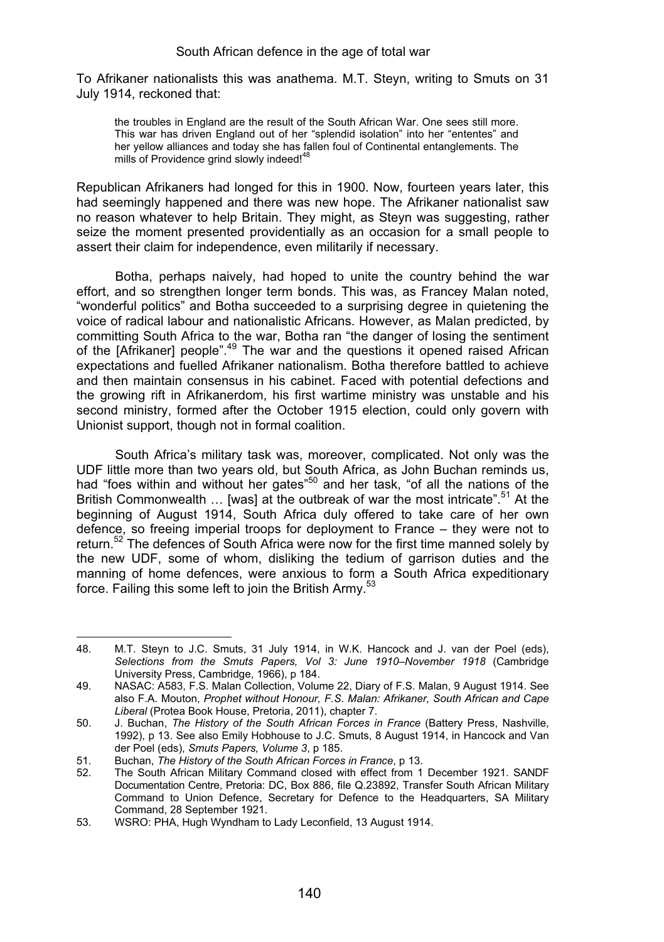To Afrikaner nationalists this was anathema. M.T. Steyn, writing to Smuts on 31 July 1914, reckoned that:

the troubles in England are the result of the South African War. One sees still more. This war has driven England out of her "splendid isolation" into her "ententes" and her yellow alliances and today she has fallen foul of Continental entanglements. The mills of Providence grind slowly indeed!<sup>48</sup>

Republican Afrikaners had longed for this in 1900. Now, fourteen years later, this had seemingly happened and there was new hope. The Afrikaner nationalist saw no reason whatever to help Britain. They might, as Steyn was suggesting, rather seize the moment presented providentially as an occasion for a small people to assert their claim for independence, even militarily if necessary.

 Botha, perhaps naively, had hoped to unite the country behind the war effort, and so strengthen longer term bonds. This was, as Francey Malan noted, "wonderful politics" and Botha succeeded to a surprising degree in quietening the voice of radical labour and nationalistic Africans. However, as Malan predicted, by committing South Africa to the war, Botha ran "the danger of losing the sentiment of the [Afrikaner] people".<sup>49</sup> The war and the questions it opened raised African expectations and fuelled Afrikaner nationalism. Botha therefore battled to achieve and then maintain consensus in his cabinet. Faced with potential defections and the growing rift in Afrikanerdom, his first wartime ministry was unstable and his second ministry, formed after the October 1915 election, could only govern with Unionist support, though not in formal coalition.

South Africa's military task was, moreover, complicated. Not only was the UDF little more than two years old, but South Africa, as John Buchan reminds us, had "foes within and without her gates"50 and her task, "of all the nations of the British Commonwealth ... [was] at the outbreak of war the most intricate".<sup>51</sup> At the beginning of August 1914, South Africa duly offered to take care of her own defence, so freeing imperial troops for deployment to France – they were not to return.<sup>52</sup> The defences of South Africa were now for the first time manned solely by the new UDF, some of whom, disliking the tedium of garrison duties and the manning of home defences, were anxious to form a South Africa expeditionary force. Failing this some left to join the British Army.<sup>53</sup>

<sup>48.</sup> M.T. Steyn to J.C. Smuts, 31 July 1914, in W.K. Hancock and J. van der Poel (eds), *Selections from the Smuts Papers, Vol 3: June 1910–November 1918* (Cambridge University Press, Cambridge, 1966), p 184.

<sup>49.</sup> NASAC: A583, F.S. Malan Collection, Volume 22, Diary of F.S. Malan, 9 August 1914. See also F.A. Mouton, *Prophet without Honour, F.S. Malan: Afrikaner, South African and Cape Liberal* (Protea Book House, Pretoria, 2011), chapter 7.

<sup>50.</sup> J. Buchan, *The History of the South African Forces in France* (Battery Press, Nashville, 1992), p 13. See also Emily Hobhouse to J.C. Smuts, 8 August 1914, in Hancock and Van der Poel (eds), *Smuts Papers, Volume 3*, p 185.

<sup>51.</sup> Buchan, *The History of the South African Forces in France*, p 13.

<sup>52.</sup> The South African Military Command closed with effect from 1 December 1921. SANDF Documentation Centre, Pretoria: DC, Box 886, file Q.23892, Transfer South African Military Command to Union Defence, Secretary for Defence to the Headquarters, SA Military Command, 28 September 1921.

<sup>53.</sup> WSRO: PHA, Hugh Wyndham to Lady Leconfield, 13 August 1914.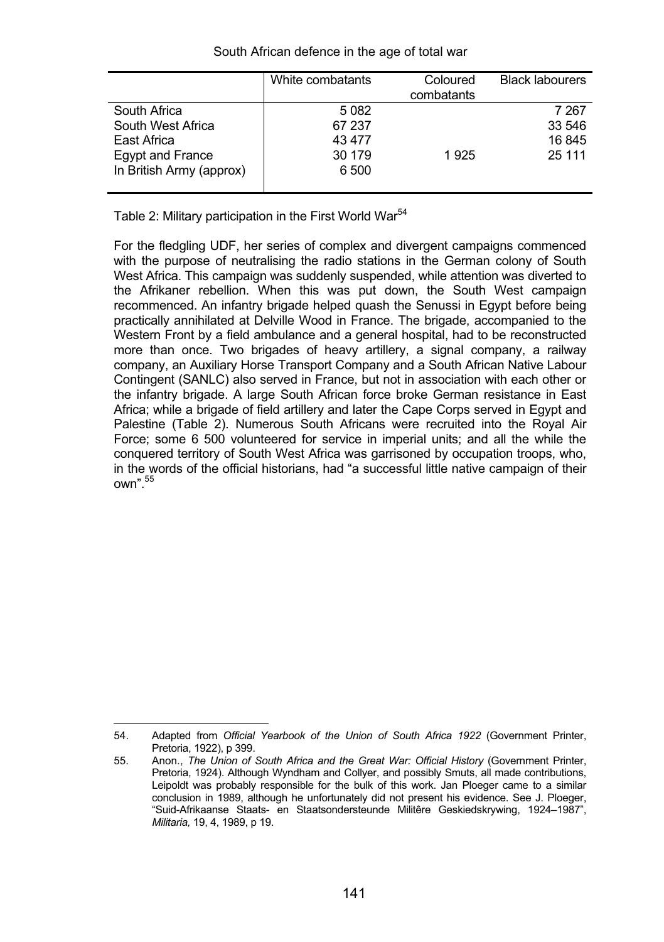| South African defence in the age of total war |  |  |  |  |  |  |  |
|-----------------------------------------------|--|--|--|--|--|--|--|
|-----------------------------------------------|--|--|--|--|--|--|--|

|                          | White combatants | Coloured   | <b>Black labourers</b> |
|--------------------------|------------------|------------|------------------------|
|                          |                  | combatants |                        |
| South Africa             | 5082             |            | 7 267                  |
| South West Africa        | 67 237           |            | 33 546                 |
| East Africa              | 43 477           |            | 16845                  |
| Egypt and France         | 30 179           | 1925       | 25 111                 |
| In British Army (approx) | 6 500            |            |                        |
|                          |                  |            |                        |

Table 2: Military participation in the First World War<sup>54</sup>

For the fledgling UDF, her series of complex and divergent campaigns commenced with the purpose of neutralising the radio stations in the German colony of South West Africa. This campaign was suddenly suspended, while attention was diverted to the Afrikaner rebellion. When this was put down, the South West campaign recommenced. An infantry brigade helped quash the Senussi in Egypt before being practically annihilated at Delville Wood in France. The brigade, accompanied to the Western Front by a field ambulance and a general hospital, had to be reconstructed more than once. Two brigades of heavy artillery, a signal company, a railway company, an Auxiliary Horse Transport Company and a South African Native Labour Contingent (SANLC) also served in France, but not in association with each other or the infantry brigade. A large South African force broke German resistance in East Africa; while a brigade of field artillery and later the Cape Corps served in Egypt and Palestine (Table 2). Numerous South Africans were recruited into the Royal Air Force; some 6 500 volunteered for service in imperial units; and all the while the conquered territory of South West Africa was garrisoned by occupation troops, who, in the words of the official historians, had "a successful little native campaign of their  $^n$ <sup>55</sup>

<sup>54.</sup> Adapted from *Official Yearbook of the Union of South Africa 1922* (Government Printer, Pretoria, 1922), p 399.

<sup>55.</sup> Anon., *The Union of South Africa and the Great War: Official History* (Government Printer, Pretoria, 1924). Although Wyndham and Collyer, and possibly Smuts, all made contributions, Leipoldt was probably responsible for the bulk of this work. Jan Ploeger came to a similar conclusion in 1989, although he unfortunately did not present his evidence. See J. Ploeger, "Suid-Afrikaanse Staats- en Staatsondersteunde Militêre Geskiedskrywing, 1924–1987", *Militaria,* 19, 4, 1989, p 19.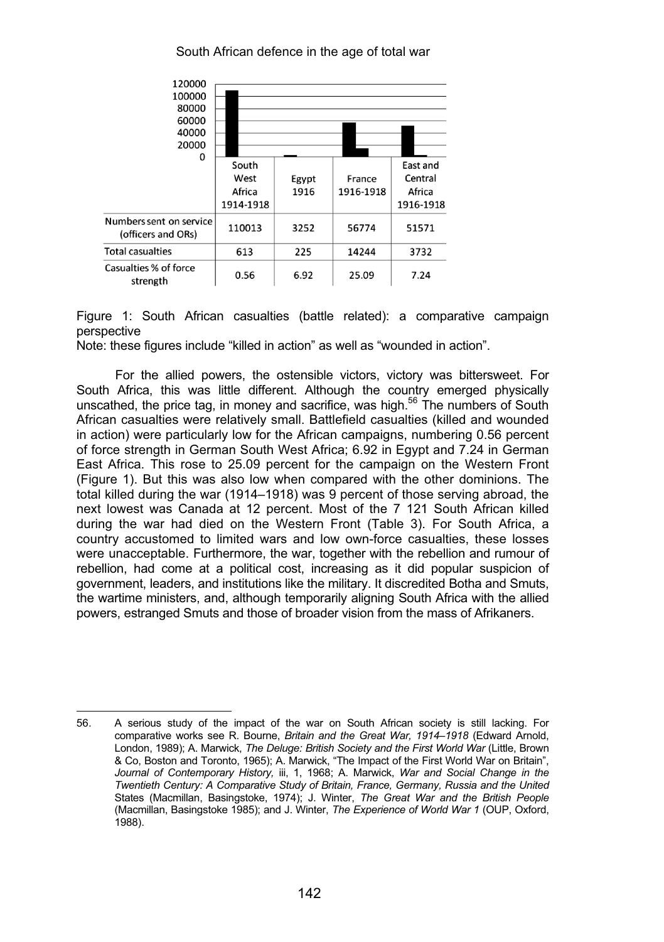

Figure 1: South African casualties (battle related): a comparative campaign perspective

Note: these figures include "killed in action" as well as "wounded in action".

 For the allied powers, the ostensible victors, victory was bittersweet. For South Africa, this was little different. Although the country emerged physically unscathed, the price tag, in money and sacrifice, was high. $56$  The numbers of South African casualties were relatively small. Battlefield casualties (killed and wounded in action) were particularly low for the African campaigns, numbering 0.56 percent of force strength in German South West Africa; 6.92 in Egypt and 7.24 in German East Africa. This rose to 25.09 percent for the campaign on the Western Front (Figure 1). But this was also low when compared with the other dominions. The total killed during the war (1914–1918) was 9 percent of those serving abroad, the next lowest was Canada at 12 percent. Most of the 7 121 South African killed during the war had died on the Western Front (Table 3). For South Africa, a country accustomed to limited wars and low own-force casualties, these losses were unacceptable. Furthermore, the war, together with the rebellion and rumour of rebellion, had come at a political cost, increasing as it did popular suspicion of government, leaders, and institutions like the military. It discredited Botha and Smuts, the wartime ministers, and, although temporarily aligning South Africa with the allied powers, estranged Smuts and those of broader vision from the mass of Afrikaners.

<sup>56.</sup> A serious study of the impact of the war on South African society is still lacking. For comparative works see R. Bourne, *Britain and the Great War, 1914–1918* (Edward Arnold, London, 1989); A. Marwick, *The Deluge: British Society and the First World War* (Little, Brown & Co, Boston and Toronto, 1965); A. Marwick, "The Impact of the First World War on Britain", *Journal of Contemporary History,* iii, 1, 1968; A. Marwick, *War and Social Change in the Twentieth Century: A Comparative Study of Britain, France, Germany, Russia and the United*  States (Macmillan, Basingstoke, 1974); J. Winter, *The Great War and the British People* (Macmillan, Basingstoke 1985); and J. Winter, *The Experience of World War 1* (OUP, Oxford, 1988).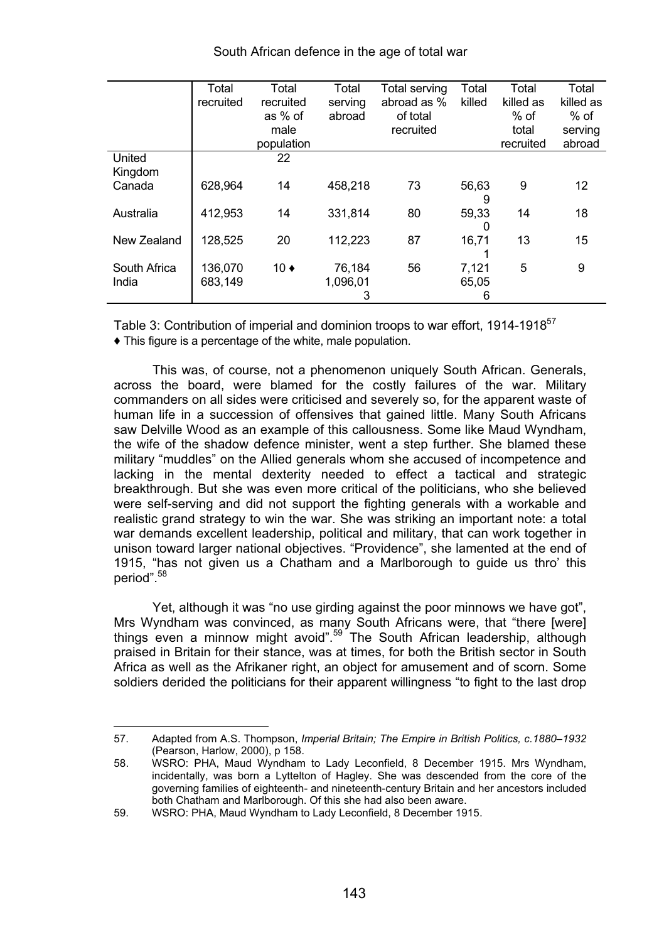|                       | Total<br>recruited | Total<br>recruited<br>as % of<br>male<br>population | Total<br>serving<br>abroad | Total serving<br>abroad as %<br>of total<br>recruited | Total<br>killed     | Total<br>killed as<br>$%$ of<br>total<br>recruited | Total<br>killed as<br>$%$ of<br>serving<br>abroad |
|-----------------------|--------------------|-----------------------------------------------------|----------------------------|-------------------------------------------------------|---------------------|----------------------------------------------------|---------------------------------------------------|
| United<br>Kingdom     |                    | 22                                                  |                            |                                                       |                     |                                                    |                                                   |
| Canada                | 628.964            | 14                                                  | 458.218                    | 73                                                    | 56.63<br>9          | 9                                                  | 12                                                |
| Australia             | 412.953            | 14                                                  | 331.814                    | 80                                                    | 59.33<br>0          | 14                                                 | 18                                                |
| New Zealand           | 128.525            | 20                                                  | 112,223                    | 87                                                    | 16.71               | 13                                                 | 15                                                |
| South Africa<br>India | 136.070<br>683.149 | $10 \bullet$                                        | 76.184<br>1.096.01<br>3    | 56                                                    | 7.121<br>65.05<br>6 | 5                                                  | 9                                                 |

Table 3: Contribution of imperial and dominion troops to war effort, 1914-1918<sup>57</sup>

- This figure is a percentage of the white, male population.

This was, of course, not a phenomenon uniquely South African. Generals, across the board, were blamed for the costly failures of the war. Military commanders on all sides were criticised and severely so, for the apparent waste of human life in a succession of offensives that gained little. Many South Africans saw Delville Wood as an example of this callousness. Some like Maud Wyndham, the wife of the shadow defence minister, went a step further. She blamed these military "muddles" on the Allied generals whom she accused of incompetence and lacking in the mental dexterity needed to effect a tactical and strategic breakthrough. But she was even more critical of the politicians, who she believed were self-serving and did not support the fighting generals with a workable and realistic grand strategy to win the war. She was striking an important note: a total war demands excellent leadership, political and military, that can work together in unison toward larger national objectives. "Providence", she lamented at the end of 1915, "has not given us a Chatham and a Marlborough to guide us thro' this period".<sup>58</sup>

Yet, although it was "no use girding against the poor minnows we have got", Mrs Wyndham was convinced, as many South Africans were, that "there [were]<br>things even a minnow might avoid".<sup>59</sup> The South African leadership, although praised in Britain for their stance, was at times, for both the British sector in South Africa as well as the Afrikaner right, an object for amusement and of scorn. Some soldiers derided the politicians for their apparent willingness "to fight to the last drop

<sup>57.</sup> Adapted from A.S. Thompson, *Imperial Britain; The Empire in British Politics, c.1880–1932* (Pearson, Harlow, 2000), p 158.

<sup>58.</sup> WSRO: PHA, Maud Wyndham to Lady Leconfield, 8 December 1915. Mrs Wyndham, incidentally, was born a Lyttelton of Hagley. She was descended from the core of the governing families of eighteenth- and nineteenth-century Britain and her ancestors included both Chatham and Marlborough. Of this she had also been aware.

<sup>59.</sup> WSRO: PHA, Maud Wyndham to Lady Leconfield, 8 December 1915.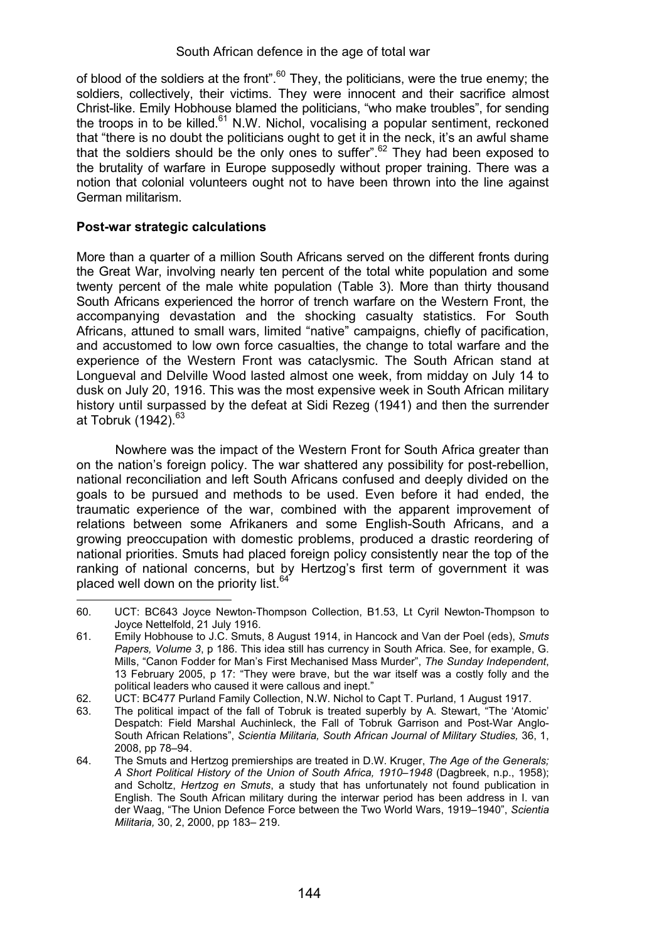of blood of the soldiers at the front".  $60$  They, the politicians, were the true enemy; the soldiers, collectively, their victims. They were innocent and their sacrifice almost Christ-like. Emily Hobhouse blamed the politicians, "who make troubles", for sending the troops in to be killed. $61$  N.W. Nichol, vocalising a popular sentiment, reckoned that "there is no doubt the politicians ought to get it in the neck, it's an awful shame that the soldiers should be the only ones to suffer".<sup>62</sup> They had been exposed to the brutality of warfare in Europe supposedly without proper training. There was a notion that colonial volunteers ought not to have been thrown into the line against German militarism.

# **Post-war strategic calculations**

More than a quarter of a million South Africans served on the different fronts during the Great War, involving nearly ten percent of the total white population and some twenty percent of the male white population (Table 3). More than thirty thousand South Africans experienced the horror of trench warfare on the Western Front, the accompanying devastation and the shocking casualty statistics. For South Africans, attuned to small wars, limited "native" campaigns, chiefly of pacification, and accustomed to low own force casualties, the change to total warfare and the experience of the Western Front was cataclysmic. The South African stand at Longueval and Delville Wood lasted almost one week, from midday on July 14 to dusk on July 20, 1916. This was the most expensive week in South African military history until surpassed by the defeat at Sidi Rezeg (1941) and then the surrender at Tobruk  $(1942)^{63}$ 

Nowhere was the impact of the Western Front for South Africa greater than on the nation's foreign policy. The war shattered any possibility for post-rebellion, national reconciliation and left South Africans confused and deeply divided on the goals to be pursued and methods to be used. Even before it had ended, the traumatic experience of the war, combined with the apparent improvement of relations between some Afrikaners and some English-South Africans, and a growing preoccupation with domestic problems, produced a drastic reordering of national priorities. Smuts had placed foreign policy consistently near the top of the ranking of national concerns, but by Hertzog's first term of government it was placed well down on the priority list. $64^{\circ}$  $\overline{a}$ 

<sup>60.</sup> UCT: BC643 Joyce Newton-Thompson Collection, B1.53, Lt Cyril Newton-Thompson to Joyce Nettelfold, 21 July 1916.

<sup>61.</sup> Emily Hobhouse to J.C. Smuts, 8 August 1914, in Hancock and Van der Poel (eds), *Smuts Papers, Volume 3*, p 186. This idea still has currency in South Africa. See, for example, G. Mills, "Canon Fodder for Man's First Mechanised Mass Murder", *The Sunday Independent*, 13 February 2005, p 17: "They were brave, but the war itself was a costly folly and the political leaders who caused it were callous and inept."

<sup>62.</sup> UCT: BC477 Purland Family Collection, N.W. Nichol to Capt T. Purland, 1 August 1917.

The political impact of the fall of Tobruk is treated superbly by A. Stewart, "The 'Atomic' Despatch: Field Marshal Auchinleck, the Fall of Tobruk Garrison and Post-War Anglo-South African Relations", *Scientia Militaria, South African Journal of Military Studies,* 36, 1, 2008, pp 78–94.

<sup>64.</sup> The Smuts and Hertzog premierships are treated in D.W. Kruger, *The Age of the Generals; A Short Political History of the Union of South Africa, 1910–1948* (Dagbreek, n.p., 1958); and Scholtz, *Hertzog en Smuts*, a study that has unfortunately not found publication in English. The South African military during the interwar period has been address in I. van der Waag, "The Union Defence Force between the Two World Wars, 1919–1940", *Scientia Militaria,* 30, 2, 2000, pp 183– 219.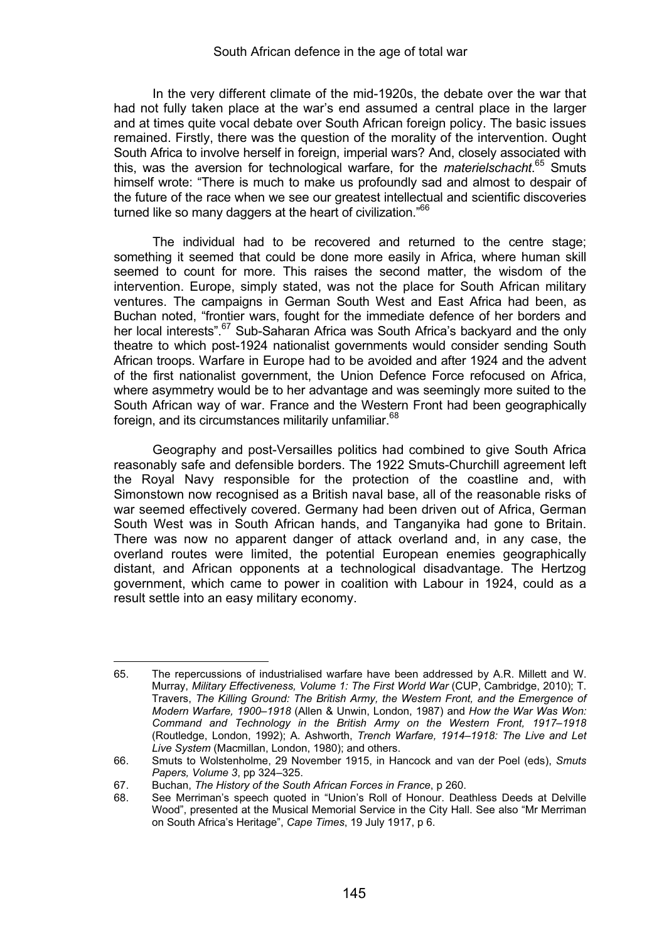In the very different climate of the mid-1920s, the debate over the war that had not fully taken place at the war's end assumed a central place in the larger and at times quite vocal debate over South African foreign policy. The basic issues remained. Firstly, there was the question of the morality of the intervention. Ought South Africa to involve herself in foreign, imperial wars? And, closely associated with this, was the aversion for technological warfare, for the *materielschacht*. 65 Smuts himself wrote: "There is much to make us profoundly sad and almost to despair of the future of the race when we see our greatest intellectual and scientific discoveries turned like so many daggers at the heart of civilization."<sup>66</sup>

The individual had to be recovered and returned to the centre stage; something it seemed that could be done more easily in Africa, where human skill seemed to count for more. This raises the second matter, the wisdom of the intervention. Europe, simply stated, was not the place for South African military ventures. The campaigns in German South West and East Africa had been, as Buchan noted, "frontier wars, fought for the immediate defence of her borders and her local interests".<sup>67</sup> Sub-Saharan Africa was South Africa's backyard and the only theatre to which post-1924 nationalist governments would consider sending South African troops. Warfare in Europe had to be avoided and after 1924 and the advent of the first nationalist government, the Union Defence Force refocused on Africa, where asymmetry would be to her advantage and was seemingly more suited to the South African way of war. France and the Western Front had been geographically foreign, and its circumstances militarily unfamiliar.<sup>68</sup>

Geography and post-Versailles politics had combined to give South Africa reasonably safe and defensible borders. The 1922 Smuts-Churchill agreement left the Royal Navy responsible for the protection of the coastline and, with Simonstown now recognised as a British naval base, all of the reasonable risks of war seemed effectively covered. Germany had been driven out of Africa, German South West was in South African hands, and Tanganyika had gone to Britain. There was now no apparent danger of attack overland and, in any case, the overland routes were limited, the potential European enemies geographically distant, and African opponents at a technological disadvantage. The Hertzog government, which came to power in coalition with Labour in 1924, could as a result settle into an easy military economy.

<sup>65.</sup> The repercussions of industrialised warfare have been addressed by A.R. Millett and W. Murray, *Military Effectiveness, Volume 1: The First World War* (CUP, Cambridge, 2010); T. Travers, *The Killing Ground: The British Army, the Western Front, and the Emergence of Modern Warfare, 1900–1918* (Allen & Unwin, London, 1987) and *How the War Was Won: Command and Technology in the British Army on the Western Front, 1917–1918* (Routledge, London, 1992); A. Ashworth, *Trench Warfare, 1914–1918: The Live and Let Live System* (Macmillan, London, 1980); and others.

<sup>66.</sup> Smuts to Wolstenholme, 29 November 1915, in Hancock and van der Poel (eds), *Smuts Papers, Volume 3*, pp 324–325.

<sup>67.</sup> Buchan, *The History of the South African Forces in France*, p 260.

See Merriman's speech quoted in "Union's Roll of Honour. Deathless Deeds at Delville Wood", presented at the Musical Memorial Service in the City Hall. See also "Mr Merriman on South Africa's Heritage", *Cape Times*, 19 July 1917, p 6.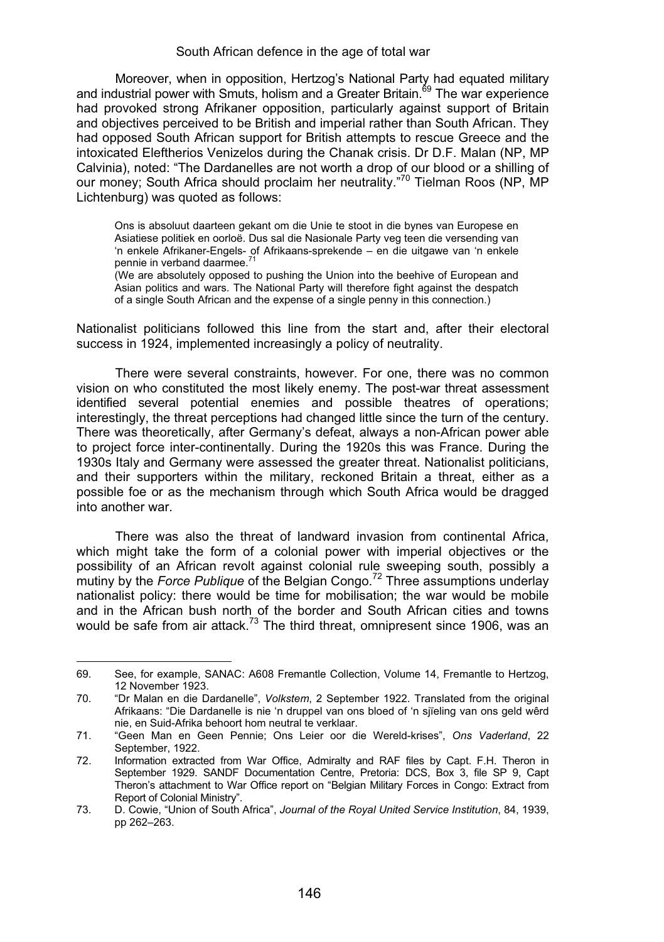Moreover, when in opposition, Hertzog's National Party had equated military and industrial power with Smuts, holism and a Greater Britain.<sup>69</sup> The war experience had provoked strong Afrikaner opposition, particularly against support of Britain and objectives perceived to be British and imperial rather than South African. They had opposed South African support for British attempts to rescue Greece and the intoxicated Eleftherios Venizelos during the Chanak crisis. Dr D.F. Malan (NP, MP Calvinia), noted: "The Dardanelles are not worth a drop of our blood or a shilling of our money; South Africa should proclaim her neutrality."70 Tielman Roos (NP, MP Lichtenburg) was quoted as follows:

Ons is absoluut daarteen gekant om die Unie te stoot in die bynes van Europese en Asiatiese politiek en oorloë. Dus sal die Nasionale Party veg teen die versending van 'n enkele Afrikaner-Engels- of Afrikaans-sprekende – en die uitgawe van 'n enkele pennie in verband daarmee.<sup>71</sup>

(We are absolutely opposed to pushing the Union into the beehive of European and Asian politics and wars. The National Party will therefore fight against the despatch of a single South African and the expense of a single penny in this connection.)

Nationalist politicians followed this line from the start and, after their electoral success in 1924, implemented increasingly a policy of neutrality.

There were several constraints, however. For one, there was no common vision on who constituted the most likely enemy. The post-war threat assessment identified several potential enemies and possible theatres of operations; interestingly, the threat perceptions had changed little since the turn of the century. There was theoretically, after Germany's defeat, always a non-African power able to project force inter-continentally. During the 1920s this was France. During the 1930s Italy and Germany were assessed the greater threat. Nationalist politicians, and their supporters within the military, reckoned Britain a threat, either as a possible foe or as the mechanism through which South Africa would be dragged into another war.

There was also the threat of landward invasion from continental Africa, which might take the form of a colonial power with imperial objectives or the possibility of an African revolt against colonial rule sweeping south, possibly a mutiny by the *Force Publique* of the Belgian Congo.<sup>72</sup> Three assumptions underlay nationalist policy: there would be time for mobilisation; the war would be mobile and in the African bush north of the border and South African cities and towns would be safe from air attack.<sup>73</sup> The third threat, omnipresent since 1906, was an

<sup>69.</sup> See, for example, SANAC: A608 Fremantle Collection, Volume 14, Fremantle to Hertzog, 12 November 1923.

<sup>70. &</sup>quot;Dr Malan en die Dardanelle", *Volkstem*, 2 September 1922. Translated from the original Afrikaans: "Die Dardanelle is nie 'n druppel van ons bloed of 'n sjïeling van ons geld wêrd nie, en Suid-Afrika behoort hom neutral te verklaar.

<sup>71. &</sup>quot;Geen Man en Geen Pennie; Ons Leier oor die Wereld-krises", *Ons Vaderland*, 22 September, 1922.

<sup>72.</sup> Information extracted from War Office, Admiralty and RAF files by Capt. F.H. Theron in September 1929. SANDF Documentation Centre, Pretoria: DCS, Box 3, file SP 9, Capt Theron's attachment to War Office report on "Belgian Military Forces in Congo: Extract from Report of Colonial Ministry".

<sup>73.</sup> D. Cowie, "Union of South Africa", *Journal of the Royal United Service Institution*, 84, 1939, pp 262–263.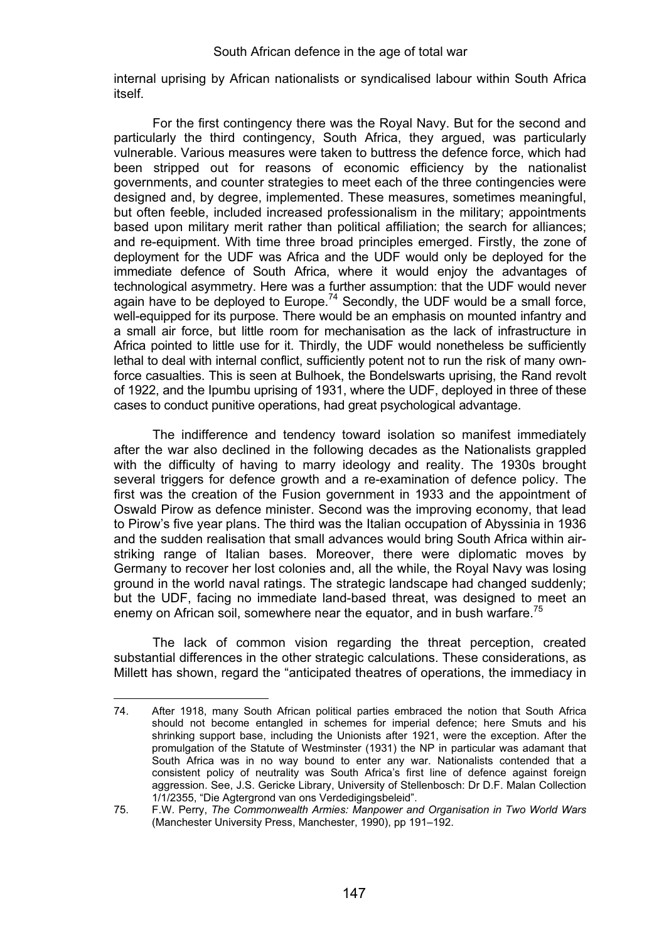internal uprising by African nationalists or syndicalised labour within South Africa itself.

For the first contingency there was the Royal Navy. But for the second and particularly the third contingency, South Africa, they argued, was particularly vulnerable. Various measures were taken to buttress the defence force, which had been stripped out for reasons of economic efficiency by the nationalist governments, and counter strategies to meet each of the three contingencies were designed and, by degree, implemented. These measures, sometimes meaningful, but often feeble, included increased professionalism in the military; appointments based upon military merit rather than political affiliation; the search for alliances; and re-equipment. With time three broad principles emerged. Firstly, the zone of deployment for the UDF was Africa and the UDF would only be deployed for the immediate defence of South Africa, where it would enjoy the advantages of technological asymmetry. Here was a further assumption: that the UDF would never again have to be deployed to Europe.<sup>74</sup> Secondly, the UDF would be a small force, well-equipped for its purpose. There would be an emphasis on mounted infantry and a small air force, but little room for mechanisation as the lack of infrastructure in Africa pointed to little use for it. Thirdly, the UDF would nonetheless be sufficiently lethal to deal with internal conflict, sufficiently potent not to run the risk of many ownforce casualties. This is seen at Bulhoek, the Bondelswarts uprising, the Rand revolt of 1922, and the Ipumbu uprising of 1931, where the UDF, deployed in three of these cases to conduct punitive operations, had great psychological advantage.

The indifference and tendency toward isolation so manifest immediately after the war also declined in the following decades as the Nationalists grappled with the difficulty of having to marry ideology and reality. The 1930s brought several triggers for defence growth and a re-examination of defence policy. The first was the creation of the Fusion government in 1933 and the appointment of Oswald Pirow as defence minister. Second was the improving economy, that lead to Pirow's five year plans. The third was the Italian occupation of Abyssinia in 1936 and the sudden realisation that small advances would bring South Africa within airstriking range of Italian bases. Moreover, there were diplomatic moves by Germany to recover her lost colonies and, all the while, the Royal Navy was losing ground in the world naval ratings. The strategic landscape had changed suddenly; but the UDF, facing no immediate land-based threat, was designed to meet an enemy on African soil, somewhere near the equator, and in bush warfare.<sup>75</sup>

The lack of common vision regarding the threat perception, created substantial differences in the other strategic calculations. These considerations, as Millett has shown, regard the "anticipated theatres of operations, the immediacy in

<sup>74.</sup> After 1918, many South African political parties embraced the notion that South Africa should not become entangled in schemes for imperial defence; here Smuts and his shrinking support base, including the Unionists after 1921, were the exception. After the promulgation of the Statute of Westminster (1931) the NP in particular was adamant that South Africa was in no way bound to enter any war. Nationalists contended that a consistent policy of neutrality was South Africa's first line of defence against foreign aggression. See, J.S. Gericke Library, University of Stellenbosch: Dr D.F. Malan Collection 1/1/2355, "Die Agtergrond van ons Verdedigingsbeleid".

<sup>75.</sup> F.W. Perry, *The Commonwealth Armies: Manpower and Organisation in Two World Wars* (Manchester University Press, Manchester, 1990), pp 191–192.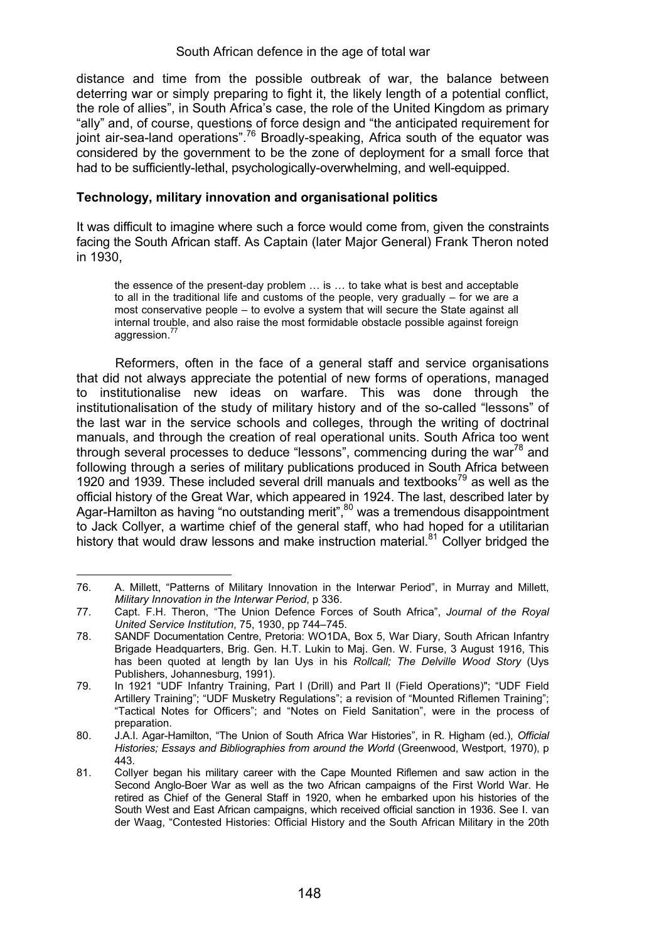distance and time from the possible outbreak of war, the balance between deterring war or simply preparing to fight it, the likely length of a potential conflict, the role of allies", in South Africa's case, the role of the United Kingdom as primary "ally" and, of course, questions of force design and "the anticipated requirement for joint air-sea-land operations".<sup>76</sup> Broadly-speaking, Africa south of the equator was considered by the government to be the zone of deployment for a small force that had to be sufficiently-lethal, psychologically-overwhelming, and well-equipped.

# **Technology, military innovation and organisational politics**

It was difficult to imagine where such a force would come from, given the constraints facing the South African staff. As Captain (later Major General) Frank Theron noted in 1930,

the essence of the present-day problem … is … to take what is best and acceptable to all in the traditional life and customs of the people, very gradually – for we are a most conservative people – to evolve a system that will secure the State against all internal trouble, and also raise the most formidable obstacle possible against foreign aggression.<sup>7</sup>

Reformers, often in the face of a general staff and service organisations that did not always appreciate the potential of new forms of operations, managed to institutionalise new ideas on warfare. This was done through the institutionalisation of the study of military history and of the so-called "lessons" of the last war in the service schools and colleges, through the writing of doctrinal manuals, and through the creation of real operational units. South Africa too went through several processes to deduce "lessons", commencing during the war $^{78}$  and following through a series of military publications produced in South Africa between 1920 and 1939. These included several drill manuals and textbooks<sup>79</sup> as well as the official history of the Great War, which appeared in 1924. The last, described later by Agar-Hamilton as having "no outstanding merit",<sup>80</sup> was a tremendous disappointment to Jack Collyer, a wartime chief of the general staff, who had hoped for a utilitarian history that would draw lessons and make instruction material.<sup>81</sup> Collyer bridged the

<sup>76.</sup> A. Millett, "Patterns of Military Innovation in the Interwar Period", in Murray and Millett, *Military Innovation in the Interwar Period*, p 336.

<sup>77.</sup> Capt. F.H. Theron, "The Union Defence Forces of South Africa", *Journal of the Royal United Service Institution*, 75, 1930, pp 744–745.

<sup>78.</sup> SANDF Documentation Centre, Pretoria: WO1DA, Box 5, War Diary, South African Infantry Brigade Headquarters, Brig. Gen. H.T. Lukin to Maj. Gen. W. Furse, 3 August 1916, This has been quoted at length by Ian Uys in his *Rollcall; The Delville Wood Story* (Uys Publishers, Johannesburg, 1991).

<sup>79.</sup> In 1921 "UDF Infantry Training, Part I (Drill) and Part II (Field Operations)"; "UDF Field Artillery Training"; "UDF Musketry Regulations"; a revision of "Mounted Riflemen Training"; "Tactical Notes for Officers"; and "Notes on Field Sanitation", were in the process of preparation.

<sup>80.</sup> J.A.I. Agar-Hamilton, "The Union of South Africa War Histories", in R. Higham (ed.), *Official Histories: Essays and Bibliographies from around the World (Greenwood, Westport, 1970), p.* 443.

<sup>81.</sup> Collyer began his military career with the Cape Mounted Riflemen and saw action in the Second Anglo-Boer War as well as the two African campaigns of the First World War. He retired as Chief of the General Staff in 1920, when he embarked upon his histories of the South West and East African campaigns, which received official sanction in 1936. See I. van der Waag, "Contested Histories: Official History and the South African Military in the 20th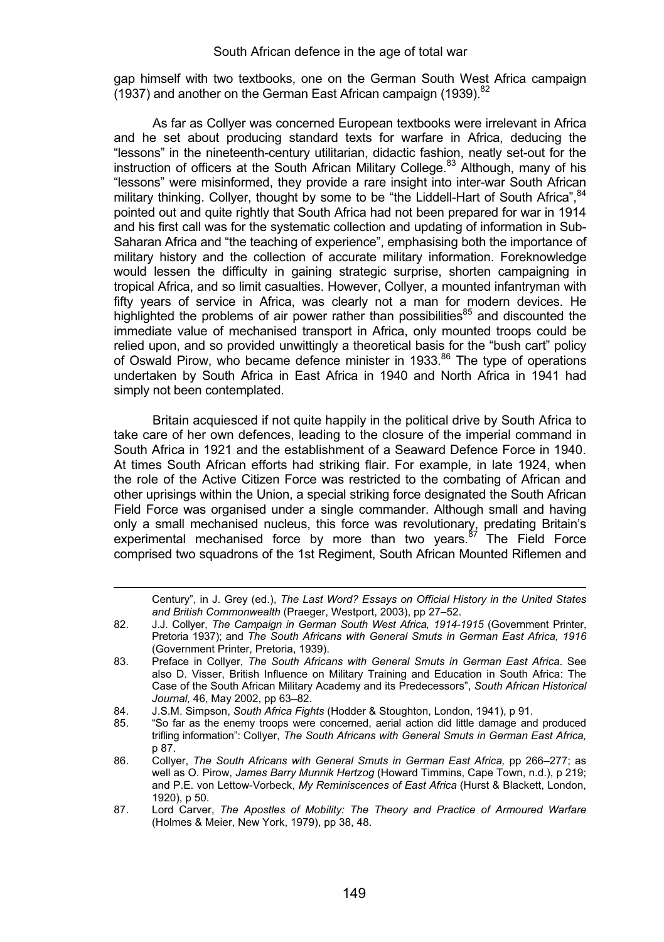gap himself with two textbooks, one on the German South West Africa campaign (1937) and another on the German East African campaign (1939).<sup>82</sup>

As far as Collyer was concerned European textbooks were irrelevant in Africa and he set about producing standard texts for warfare in Africa, deducing the "lessons" in the nineteenth-century utilitarian, didactic fashion, neatly set-out for the instruction of officers at the South African Military College.<sup>83</sup> Although, many of his "lessons" were misinformed, they provide a rare insight into inter-war South African military thinking. Collyer, thought by some to be "the Liddell-Hart of South Africa". <sup>84</sup> pointed out and quite rightly that South Africa had not been prepared for war in 1914 and his first call was for the systematic collection and updating of information in Sub-Saharan Africa and "the teaching of experience", emphasising both the importance of military history and the collection of accurate military information. Foreknowledge would lessen the difficulty in gaining strategic surprise, shorten campaigning in tropical Africa, and so limit casualties. However, Collyer, a mounted infantryman with fifty years of service in Africa, was clearly not a man for modern devices. He highlighted the problems of air power rather than possibilities<sup>85</sup> and discounted the immediate value of mechanised transport in Africa, only mounted troops could be relied upon, and so provided unwittingly a theoretical basis for the "bush cart" policy of Oswald Pirow, who became defence minister in 1933.<sup>86</sup> The type of operations undertaken by South Africa in East Africa in 1940 and North Africa in 1941 had simply not been contemplated.

Britain acquiesced if not quite happily in the political drive by South Africa to take care of her own defences, leading to the closure of the imperial command in South Africa in 1921 and the establishment of a Seaward Defence Force in 1940. At times South African efforts had striking flair. For example, in late 1924, when the role of the Active Citizen Force was restricted to the combating of African and other uprisings within the Union, a special striking force designated the South African Field Force was organised under a single commander. Although small and having only a small mechanised nucleus, this force was revolutionary, predating Britain's<br>experimental mechanised force by more than two years.<sup>87</sup> The Field Force comprised two squadrons of the 1st Regiment, South African Mounted Riflemen and

Century", in J. Grey (ed.), *The Last Word? Essays on Official History in the United States and British Commonwealth* (Praeger, Westport, 2003), pp 27–52.

<sup>82.</sup> J.J. Collyer, *The Campaign in German South West Africa, 1914-1915* (Government Printer, Pretoria 1937); and *The South Africans with General Smuts in German East Africa, 1916*  (Government Printer, Pretoria, 1939).

<sup>83.</sup> Preface in Collyer, *The South Africans with General Smuts in German East Africa*. See also D. Visser, British Influence on Military Training and Education in South Africa: The Case of the South African Military Academy and its Predecessors", *South African Historical Journal,* 46, May 2002, pp 63–82.

<sup>84.</sup> J.S.M. Simpson, *South Africa Fights* (Hodder & Stoughton, London, 1941), p 91.

<sup>85. &</sup>quot;So far as the enemy troops were concerned, aerial action did little damage and produced trifling information": Collyer, *The South Africans with General Smuts in German East Africa,* p 87.

<sup>86.</sup> Collyer, *The South Africans with General Smuts in German East Africa, pp 266–277; as* well as O. Pirow, *James Barry Munnik Hertzog* (Howard Timmins, Cape Town, n.d.), p 219; and P.E. von Lettow-Vorbeck, *My Reminiscences of East Africa* (Hurst & Blackett, London, 1920), p 50.

<sup>87.</sup> Lord Carver, *The Apostles of Mobility: The Theory and Practice of Armoured Warfare* (Holmes & Meier, New York, 1979), pp 38, 48.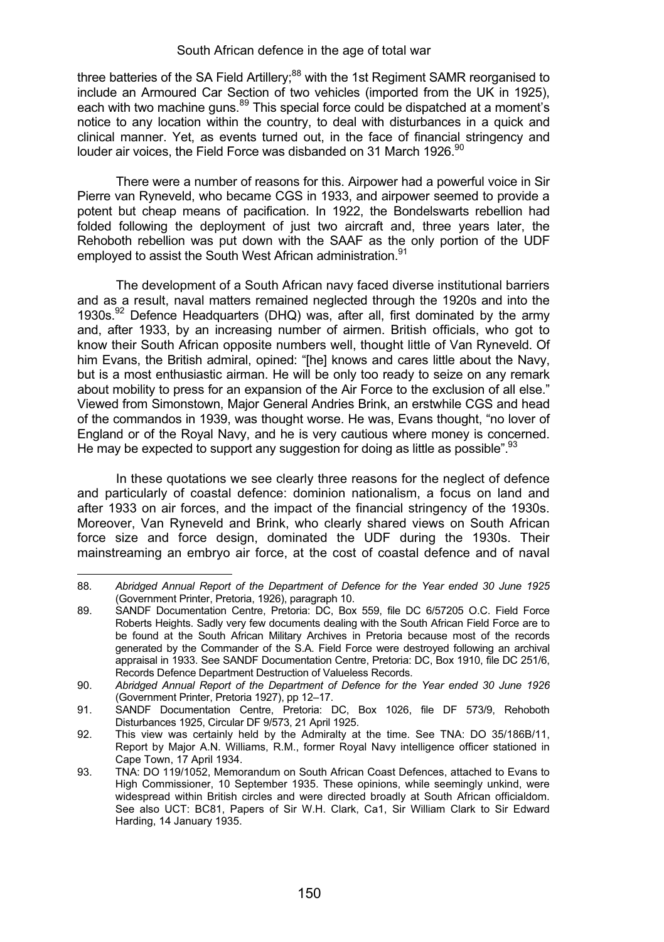three batteries of the SA Field Artillery;<sup>88</sup> with the 1st Regiment SAMR reorganised to include an Armoured Car Section of two vehicles (imported from the UK in 1925), each with two machine guns.<sup>89</sup> This special force could be dispatched at a moment's notice to any location within the country, to deal with disturbances in a quick and clinical manner. Yet, as events turned out, in the face of financial stringency and louder air voices, the Field Force was disbanded on 31 March 1926.<sup>90</sup>

There were a number of reasons for this. Airpower had a powerful voice in Sir Pierre van Ryneveld, who became CGS in 1933, and airpower seemed to provide a potent but cheap means of pacification. In 1922, the Bondelswarts rebellion had folded following the deployment of just two aircraft and, three years later, the Rehoboth rebellion was put down with the SAAF as the only portion of the UDF employed to assist the South West African administration.<sup>91</sup>

The development of a South African navy faced diverse institutional barriers and as a result, naval matters remained neglected through the 1920s and into the 1930s.<sup>92</sup> Defence Headquarters (DHQ) was, after all, first dominated by the army and, after 1933, by an increasing number of airmen. British officials, who got to know their South African opposite numbers well, thought little of Van Ryneveld. Of him Evans, the British admiral, opined: "[he] knows and cares little about the Navy, but is a most enthusiastic airman. He will be only too ready to seize on any remark about mobility to press for an expansion of the Air Force to the exclusion of all else." Viewed from Simonstown, Major General Andries Brink, an erstwhile CGS and head of the commandos in 1939, was thought worse. He was, Evans thought, "no lover of England or of the Royal Navy, and he is very cautious where money is concerned. He may be expected to support any suggestion for doing as little as possible".<sup>93</sup>

In these quotations we see clearly three reasons for the neglect of defence and particularly of coastal defence: dominion nationalism, a focus on land and after 1933 on air forces, and the impact of the financial stringency of the 1930s. Moreover, Van Ryneveld and Brink, who clearly shared views on South African force size and force design, dominated the UDF during the 1930s. Their mainstreaming an embryo air force, at the cost of coastal defence and of naval

 $\overline{a}$ 

<sup>88</sup>*. Abridged Annual Report of the Department of Defence for the Year ended 30 June 1925* (Government Printer, Pretoria, 1926), paragraph 10.

<sup>89.</sup> SANDF Documentation Centre, Pretoria: DC, Box 559, file DC 6/57205 O.C. Field Force Roberts Heights. Sadly very few documents dealing with the South African Field Force are to be found at the South African Military Archives in Pretoria because most of the records generated by the Commander of the S.A. Field Force were destroyed following an archival appraisal in 1933. See SANDF Documentation Centre, Pretoria: DC, Box 1910, file DC 251/6, Records Defence Department Destruction of Valueless Records.

<sup>90.</sup> *Abridged Annual Report of the Department of Defence for the Year ended 30 June 1926* (Government Printer, Pretoria 1927), pp 12–17.

<sup>91.</sup> SANDF Documentation Centre, Pretoria: DC, Box 1026, file DF 573/9, Rehoboth Disturbances 1925, Circular DF 9/573, 21 April 1925.

<sup>92.</sup> This view was certainly held by the Admiralty at the time. See TNA: DO 35/186B/11, Report by Major A.N. Williams, R.M., former Royal Navy intelligence officer stationed in Cape Town, 17 April 1934.

<sup>93.</sup> TNA: DO 119/1052, Memorandum on South African Coast Defences, attached to Evans to High Commissioner, 10 September 1935. These opinions, while seemingly unkind, were widespread within British circles and were directed broadly at South African officialdom. See also UCT: BC81, Papers of Sir W.H. Clark, Ca1, Sir William Clark to Sir Edward Harding, 14 January 1935.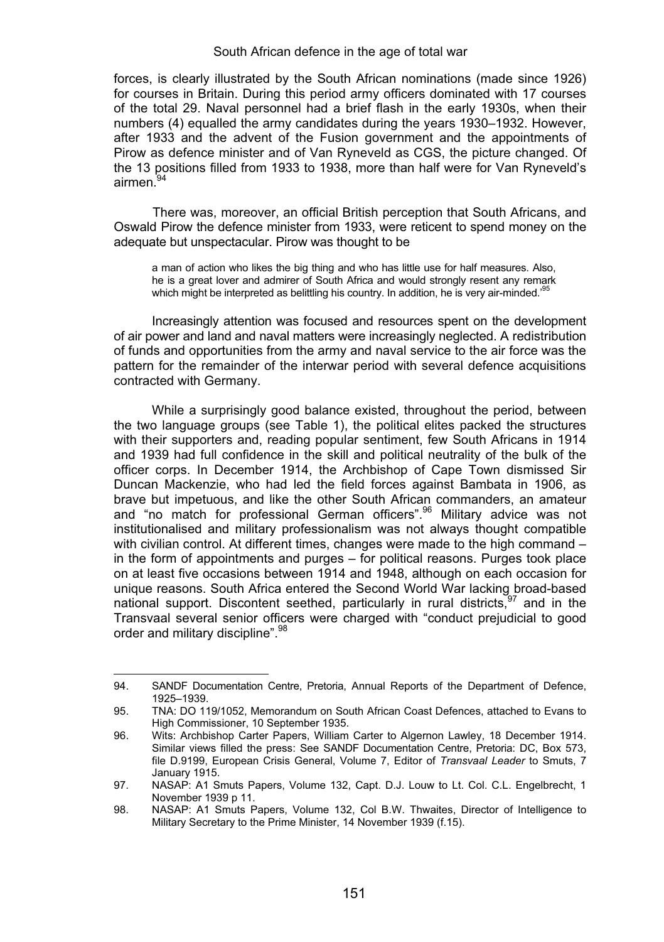forces, is clearly illustrated by the South African nominations (made since 1926) for courses in Britain. During this period army officers dominated with 17 courses of the total 29. Naval personnel had a brief flash in the early 1930s, when their numbers (4) equalled the army candidates during the years 1930–1932. However, after 1933 and the advent of the Fusion government and the appointments of Pirow as defence minister and of Van Ryneveld as CGS, the picture changed. Of the 13 positions filled from 1933 to 1938, more than half were for Van Ryneveld's airmen.<sup>94</sup>

There was, moreover, an official British perception that South Africans, and Oswald Pirow the defence minister from 1933, were reticent to spend money on the adequate but unspectacular. Pirow was thought to be

a man of action who likes the big thing and who has little use for half measures. Also, he is a great lover and admirer of South Africa and would strongly resent any remark which might be interpreted as belittling his country. In addition, he is very air-minded.<sup>95</sup>

Increasingly attention was focused and resources spent on the development of air power and land and naval matters were increasingly neglected. A redistribution of funds and opportunities from the army and naval service to the air force was the pattern for the remainder of the interwar period with several defence acquisitions contracted with Germany.

While a surprisingly good balance existed, throughout the period, between the two language groups (see Table 1), the political elites packed the structures with their supporters and, reading popular sentiment, few South Africans in 1914 and 1939 had full confidence in the skill and political neutrality of the bulk of the officer corps. In December 1914, the Archbishop of Cape Town dismissed Sir Duncan Mackenzie, who had led the field forces against Bambata in 1906, as brave but impetuous, and like the other South African commanders, an amateur and "no match for professional German officers".<sup>96</sup> Military advice was not institutionalised and military professionalism was not always thought compatible with civilian control. At different times, changes were made to the high command – in the form of appointments and purges – for political reasons. Purges took place on at least five occasions between 1914 and 1948, although on each occasion for unique reasons. South Africa entered the Second World War lacking broad-based national support. Discontent seethed, particularly in rural districts,  $97$  and in the Transvaal several senior officers were charged with "conduct prejudicial to good order and military discipline".<sup>98</sup>

<sup>94.</sup> SANDF Documentation Centre, Pretoria, Annual Reports of the Department of Defence, 1925–1939.

<sup>95.</sup> TNA: DO 119/1052, Memorandum on South African Coast Defences, attached to Evans to High Commissioner, 10 September 1935.

<sup>96.</sup> Wits: Archbishop Carter Papers, William Carter to Algernon Lawley, 18 December 1914. Similar views filled the press: See SANDF Documentation Centre, Pretoria: DC, Box 573, file D.9199, European Crisis General, Volume 7, Editor of *Transvaal Leader* to Smuts, 7 January 1915.

<sup>97.</sup> NASAP: A1 Smuts Papers, Volume 132, Capt. D.J. Louw to Lt. Col. C.L. Engelbrecht, 1 November 1939 p 11.

<sup>98.</sup> NASAP: A1 Smuts Papers, Volume 132, Col B.W. Thwaites, Director of Intelligence to Military Secretary to the Prime Minister, 14 November 1939 (f.15).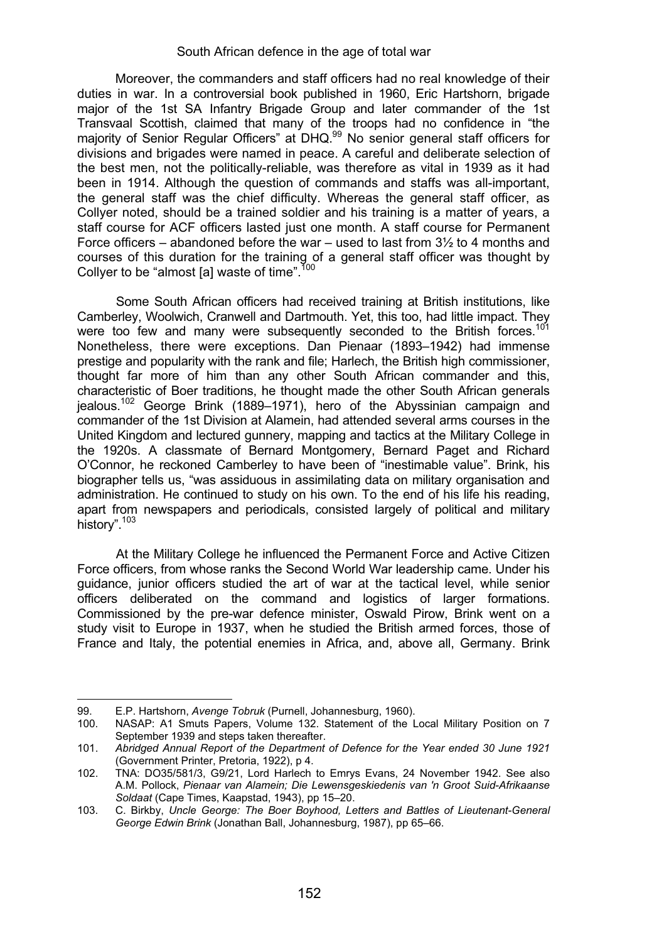Moreover, the commanders and staff officers had no real knowledge of their duties in war. In a controversial book published in 1960, Eric Hartshorn, brigade major of the 1st SA Infantry Brigade Group and later commander of the 1st Transvaal Scottish, claimed that many of the troops had no confidence in "the majority of Senior Regular Officers" at DHQ.<sup>99</sup> No senior general staff officers for divisions and brigades were named in peace. A careful and deliberate selection of the best men, not the politically-reliable, was therefore as vital in 1939 as it had been in 1914. Although the question of commands and staffs was all-important, the general staff was the chief difficulty. Whereas the general staff officer, as Collyer noted, should be a trained soldier and his training is a matter of years, a staff course for ACF officers lasted just one month. A staff course for Permanent Force officers – abandoned before the war – used to last from  $3\frac{1}{2}$  to 4 months and courses of this duration for the training of a general staff officer was thought by Collyer to be "almost [a] waste of time". $1$ 

 Some South African officers had received training at British institutions, like Camberley, Woolwich, Cranwell and Dartmouth. Yet, this too, had little impact. They<br>were too few and many were subsequently seconded to the British forces.<sup>101</sup> Nonetheless, there were exceptions. Dan Pienaar (1893–1942) had immense prestige and popularity with the rank and file; Harlech, the British high commissioner, thought far more of him than any other South African commander and this, characteristic of Boer traditions, he thought made the other South African generals jealous.<sup>102</sup> George Brink (1889–1971), hero of the Abyssinian campaign and commander of the 1st Division at Alamein, had attended several arms courses in the United Kingdom and lectured gunnery, mapping and tactics at the Military College in the 1920s. A classmate of Bernard Montgomery, Bernard Paget and Richard O'Connor, he reckoned Camberley to have been of "inestimable value". Brink, his biographer tells us, "was assiduous in assimilating data on military organisation and administration. He continued to study on his own. To the end of his life his reading, apart from newspapers and periodicals, consisted largely of political and military history".<sup>103</sup>

At the Military College he influenced the Permanent Force and Active Citizen Force officers, from whose ranks the Second World War leadership came. Under his guidance, junior officers studied the art of war at the tactical level, while senior officers deliberated on the command and logistics of larger formations. Commissioned by the pre-war defence minister, Oswald Pirow, Brink went on a study visit to Europe in 1937, when he studied the British armed forces, those of France and Italy, the potential enemies in Africa, and, above all, Germany. Brink

 $\overline{a}$ 

<sup>99.</sup> E.P. Hartshorn, *Avenge Tobruk* (Purnell, Johannesburg, 1960).

NASAP: A1 Smuts Papers, Volume 132. Statement of the Local Military Position on 7 September 1939 and steps taken thereafter.

<sup>101.</sup> *Abridged Annual Report of the Department of Defence for the Year ended 30 June 1921* (Government Printer, Pretoria, 1922), p 4.

<sup>102.</sup> TNA: DO35/581/3, G9/21, Lord Harlech to Emrys Evans, 24 November 1942. See also A.M. Pollock, *Pienaar van Alamein; Die Lewensgeskiedenis van 'n Groot Suid-Afrikaanse Soldaat* (Cape Times, Kaapstad, 1943), pp 15–20.

<sup>103.</sup> C. Birkby, *Uncle George: The Boer Boyhood, Letters and Battles of Lieutenant-General George Edwin Brink* (Jonathan Ball, Johannesburg, 1987), pp 65–66.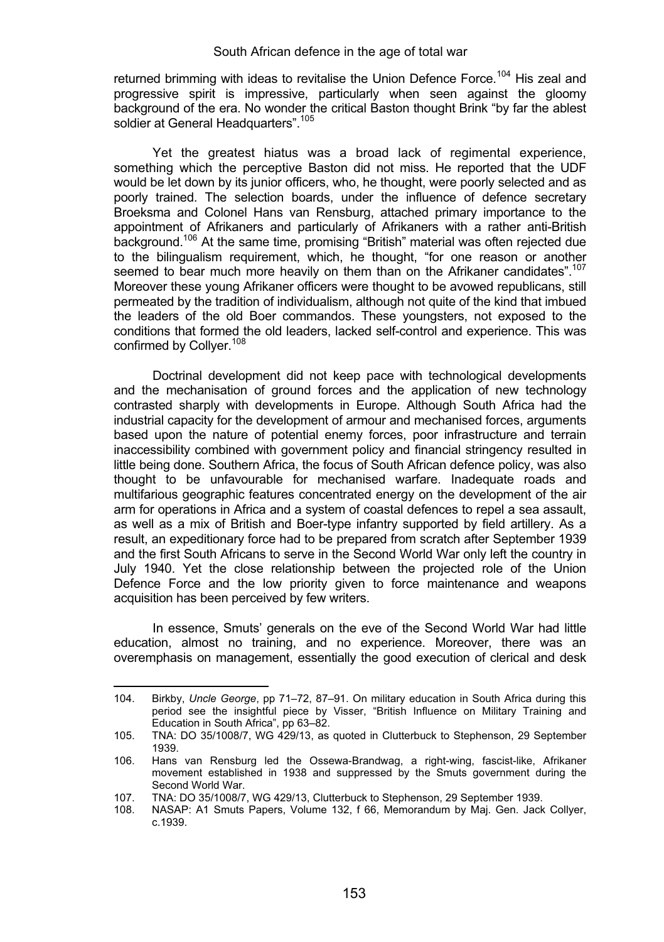returned brimming with ideas to revitalise the Union Defence Force.<sup>104</sup> His zeal and progressive spirit is impressive, particularly when seen against the gloomy background of the era. No wonder the critical Baston thought Brink "by far the ablest soldier at General Headquarters".<sup>105</sup>

Yet the greatest hiatus was a broad lack of regimental experience, something which the perceptive Baston did not miss. He reported that the UDF would be let down by its junior officers, who, he thought, were poorly selected and as poorly trained. The selection boards, under the influence of defence secretary Broeksma and Colonel Hans van Rensburg, attached primary importance to the appointment of Afrikaners and particularly of Afrikaners with a rather anti-British background.106 At the same time, promising "British" material was often rejected due to the bilingualism requirement, which, he thought, "for one reason or another seemed to bear much more heavily on them than on the Afrikaner candidates".<sup>107</sup> Moreover these young Afrikaner officers were thought to be avowed republicans, still permeated by the tradition of individualism, although not quite of the kind that imbued the leaders of the old Boer commandos. These youngsters, not exposed to the conditions that formed the old leaders, lacked self-control and experience. This was confirmed by Collver.<sup>108</sup>

Doctrinal development did not keep pace with technological developments and the mechanisation of ground forces and the application of new technology contrasted sharply with developments in Europe. Although South Africa had the industrial capacity for the development of armour and mechanised forces, arguments based upon the nature of potential enemy forces, poor infrastructure and terrain inaccessibility combined with government policy and financial stringency resulted in little being done. Southern Africa, the focus of South African defence policy, was also thought to be unfavourable for mechanised warfare. Inadequate roads and multifarious geographic features concentrated energy on the development of the air arm for operations in Africa and a system of coastal defences to repel a sea assault, as well as a mix of British and Boer-type infantry supported by field artillery. As a result, an expeditionary force had to be prepared from scratch after September 1939 and the first South Africans to serve in the Second World War only left the country in July 1940. Yet the close relationship between the projected role of the Union Defence Force and the low priority given to force maintenance and weapons acquisition has been perceived by few writers.

In essence, Smuts' generals on the eve of the Second World War had little education, almost no training, and no experience. Moreover, there was an overemphasis on management, essentially the good execution of clerical and desk

<sup>104.</sup> Birkby, *Uncle George*, pp 71–72, 87–91. On military education in South Africa during this period see the insightful piece by Visser, "British Influence on Military Training and Education in South Africa", pp 63–82.

<sup>105.</sup> TNA: DO 35/1008/7, WG 429/13, as quoted in Clutterbuck to Stephenson, 29 September 1939.

<sup>106.</sup> Hans van Rensburg led the Ossewa-Brandwag, a right-wing, fascist-like, Afrikaner movement established in 1938 and suppressed by the Smuts government during the Second World War.

<sup>107.</sup> TNA: DO 35/1008/7, WG 429/13, Clutterbuck to Stephenson, 29 September 1939.<br>108. NASAP: A1 Smuts Papers. Volume 132. f 66. Memorandum by Mai. Gen. Jack

<sup>108.</sup> NASAP: A1 Smuts Papers, Volume 132, f 66, Memorandum by Maj. Gen. Jack Collyer, c.1939.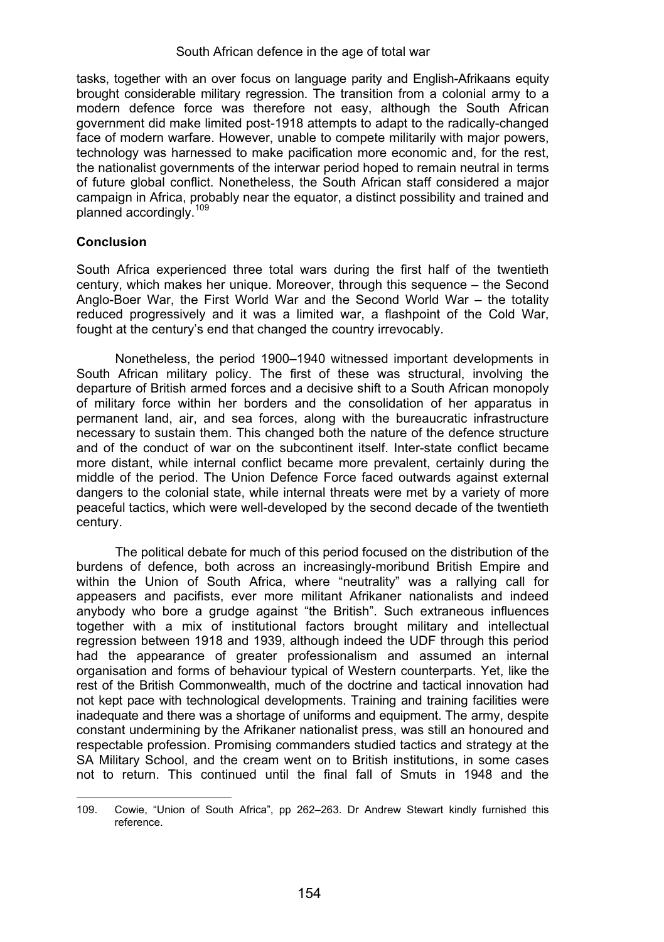tasks, together with an over focus on language parity and English-Afrikaans equity brought considerable military regression. The transition from a colonial army to a modern defence force was therefore not easy, although the South African government did make limited post-1918 attempts to adapt to the radically-changed face of modern warfare. However, unable to compete militarily with major powers, technology was harnessed to make pacification more economic and, for the rest, the nationalist governments of the interwar period hoped to remain neutral in terms of future global conflict. Nonetheless, the South African staff considered a major campaign in Africa, probably near the equator, a distinct possibility and trained and planned accordingly.<sup>109</sup>

# **Conclusion**

.

South Africa experienced three total wars during the first half of the twentieth century, which makes her unique. Moreover, through this sequence – the Second Anglo-Boer War, the First World War and the Second World War – the totality reduced progressively and it was a limited war, a flashpoint of the Cold War, fought at the century's end that changed the country irrevocably.

Nonetheless, the period 1900–1940 witnessed important developments in South African military policy. The first of these was structural, involving the departure of British armed forces and a decisive shift to a South African monopoly of military force within her borders and the consolidation of her apparatus in permanent land, air, and sea forces, along with the bureaucratic infrastructure necessary to sustain them. This changed both the nature of the defence structure and of the conduct of war on the subcontinent itself. Inter-state conflict became more distant, while internal conflict became more prevalent, certainly during the middle of the period. The Union Defence Force faced outwards against external dangers to the colonial state, while internal threats were met by a variety of more peaceful tactics, which were well-developed by the second decade of the twentieth century.

The political debate for much of this period focused on the distribution of the burdens of defence, both across an increasingly-moribund British Empire and within the Union of South Africa, where "neutrality" was a rallying call for appeasers and pacifists, ever more militant Afrikaner nationalists and indeed anybody who bore a grudge against "the British". Such extraneous influences together with a mix of institutional factors brought military and intellectual regression between 1918 and 1939, although indeed the UDF through this period had the appearance of greater professionalism and assumed an internal organisation and forms of behaviour typical of Western counterparts. Yet, like the rest of the British Commonwealth, much of the doctrine and tactical innovation had not kept pace with technological developments. Training and training facilities were inadequate and there was a shortage of uniforms and equipment. The army, despite constant undermining by the Afrikaner nationalist press, was still an honoured and respectable profession. Promising commanders studied tactics and strategy at the SA Military School, and the cream went on to British institutions, in some cases not to return. This continued until the final fall of Smuts in 1948 and the

<sup>109.</sup> Cowie, "Union of South Africa", pp 262–263. Dr Andrew Stewart kindly furnished this reference.